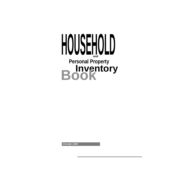

**Circular 1346**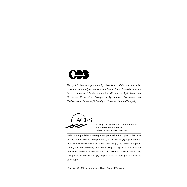

This publication was prepared by Holly Hunts, Extension specialist, consumer and family economics, and Brenda Cude, Extension specialist, consumer and family economics, Division of Agricultural and Consumer Economics, College of Agricultural, Consumer and Environmental Sciences,University of Illinois at Urbana-Champaign.



College of Agricultural, Consumer and **Environmental Sciences** University of Illinois at Urbana-Champaign

Authors and publishers have granted permission for copies of this work or parts of this work to be reproduced, provided that (1) copies are distributed at or below the cost of reproduction; (2) the author, the publication, and the University of Illinois College of Agricultural, Consumer and Environmental Sciences and the relevant division within the College are identified; and (3) proper notice of copyright is affixed to each copy.

Copyright © 1997 by University of Illinois Board of Trustees.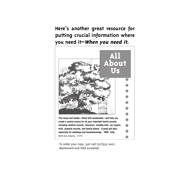### **Here's another great resource for putting crucial information where you need it–When you need it.**



To order your copy, just call (217)333-2007. Mastercard and VISA accepted.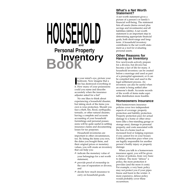### $\blacksquare$ **Personal Property Inventory Book**

**I** n your mind's eye, picture your bedroom. Now imagine that a fire has destroyed everything in it. How many of your possessions could you name and describe accurately when the insurance adjuster asked for a list?

No one likes to think about experiencing a household disaster, but taking stock of the items you own is wise protection. Should you face a theft, fire, flood, earthquake, tornado, or other natural disaster, having a complete and accurate accounting of your household furnishings and personal possessions will be quite useful in settling insurance claims and documenting losses for tax purposes.

Household inventories are important in other circumstances, too. By listing the items you own, the dates you bought them, and their original prices or monetary values, you will create an inventory that can help you:

- $\triangle$  indicate the monetary value of your belongings for a net worth statement,
- ✍ provide proof of ownership in the case of separation or divorce, and
- ✍ decide how much insurance to carry on household goods.

### **What's a Net Worth Statement?**

A net worth statement gives a picture of a person's or family's financial well-being. The statement lists all assets (items owned plus savings and investments) and all liabilities (debts). A net worth statement is an important step in determining appropriate financial goals, both short-range and longterm. A household inventory contributes to the net worth statement as a tool for evaluating personal assets.

### **Other Reasons for Having an Inventory**

Few newlyweds actively prepare for a divorce, but divorce has become a fact of life for many. A household inventory can be created before a marriage and used as part of a prenuptial agreement, or it can be compiled later and used in the legal settlement process. An inventory can also be useful when an estate is being settled after someone's death. Accurate records of the worth of items make equitable distribution more feasible.

### **Homeowners Insurance**

Most homeowners insurance policies cover two independent aspects of coverage: property protection and liability protection. Property protection pays for actual damage to a home or other structures (like a free-standing garage or storage area), damage to personal property, and costs associated with the loss of a home (such as increased food or lodging expenses if you cannot live in your house). Liability protection pays when you are legally responsible for another person's bodily injury or property damage.

When you talk to a homeowners insurance agent, you will be given a choice of policies, from very basic to deluxe. The more "deluxe" a policy, the more protection it provides (and the more it costs). For example, a very basic policy may not protect you if your pipes freeze and burst in the winter. A more expensive, deluxe policy would probably cover these occurrences.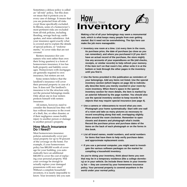Sometimes a deluxe policy is called an "all-risk" policy, but this does *not* mean that it protects you in every case of damage. It means that you are protected from all risks *except* those specifically excluded. In Illinois, some of a homeowner's most pertinent risks are excluded from all-risk policies, including flooding, sewage back-up, earthquakes, and mine subsidence. Ask your insurance agent exactly what is covered and to explain the details of special policies, or "endorsements," to cover risks that are not covered.

Renters insurance (for consumers who rent rather than own their living quarters) is a form of homeowners insurance; it too has both property and liability coverages. Homeowners with mortgages are generally required to own insurance, but renters are not.

Some renters believe that the landlord's insurance will cover their personal property in case of a loss. It does not! The landlord's insurance is for the structure only, not the personal belongings inside. Only about one in four renters protects himself with renters insurance.

All renters, however, need to consider the financial loss they will face without insurance in the event of a theft, fire, or other disaster, or if their negligence causes bodily injury to another person or damage to another person's property.

### **How Much Insurance Do I Need?**

Most homeowners insurance policies automatically cover personal property for up to 50 percent of the coverage on the home. For example, if your homeowners policy has \$80,000 worth of coverage for your building, you automatically have an additional \$40,000 to cover the cost of replacing your personal property. Will your coverage be enough to actually replace your damaged possessions with new ones? Without a complete household inventory, it is nearly impossible to know. Your inventory lets you sum





**Making a list of all your belongings may seem a monumental task, which is what keeps many people from ever getting started. But it need not be overwhelming. The tips here can make the job more manageable:**

- ✍ **Inventory one room at a time. List every item in the room, its purchase price, the date of purchase (as close as you can remember), and where you purchased it (if you don't have an actual record of the purchase, the store might). Use any accounts of your expenditures on file (old checks, receipts, or similar records) to help refresh your memory. If the item isn't on that room's list, either write it in at the bottom or look through the other pages in the inventory until you find it.**
- ✍ **Use the forms provided in this publication as reminders of your belongings. Add any items not listed. Use the special inventory section (which begins on page 32) to individually describe items you merely counted in your room-byroom inventory. When there's space in the special inventory section for more details, the item is marked by an asterisk followed by the page number. You should also use the special inventory section to keep records for objects that may require special insurance (see page 4).**
- ✍ **Use a camera or videocamera to record what you own. Photograph your home systematically: Start with one wall of a room and take as many pictures as necessary to record everything along that wall, overlapping slightly. Move around the room clockwise. Remember to open closets and drawers and photograph what's inside. Record the purchase prices and purchase dates of the items on the back of each photograph or on the forms in this book.**
- ✍ **List all brand names, model numbers, and serial numbers for items that have them to help verify purchase dates and approximate replacement costs.**
- ✍ **If you use a personal computer, you might want to investigate the various software packages on the market for compiling a household inventory.**

**As you're doing your inventory, think about items you own that may be in a temporary residence (like a college dormitory) or in your vehicle. Do include these items in your inventory list — they are covered by your homeowners insurance policy. Your personal property is covered anywhere in the world under your normal policy.**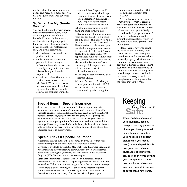up the value of all your household goods and helps you make sure you have adequate insurance coverage for them.

### **So What Are My Goods Worth?**

You need to be familiar with several important insurance terms when calculating the value of your household items. In the inventory worksheets (starting on page 6), there are three columns related to price: original cost, replacement cost, and actual cash value.

- ✍ Original cost: How much you paid for an item.
- ✍ Replacement cost: How much you would have to pay to replace the item with a new one today. Typically, but not always, this cost is higher than the original cost.
- ✍ Actual cash value: There is not a hard and fast rule on how to calculate ACV, but most insurance companies use the following definition: How much the item would cost new, minus the

amount it has "depreciated" (decreased in value due to age, wear and tear, or obsolescence). The depreciation percentage is how long you had the item compared to its expected life. Let's look at an example to help bring the three terms to life:

Say you bought a new sofa four years ago for \$1,000. Its expected life is 10 years. This year you had a fire, and the sofa was destroyed. The depreciation is how long you had the item (4 years) compared to its expected life (10 years): 4 years divided by 10 years is .4, or 40% depreciation. A new sofa now costs \$1,200, so 40% depreciation is \$480 (depreciation is calculated as a percentage of the replacement cost, not the purchase price).

So in this example:

- ✍ The *original cost* (what you paid new) is \$1,000.
- ✍ The *replacement cost* (what you must pay new today) is \$1,200.
- ✍ The *actual cash value* is \$720, calculated by subtracting the

amount of depreciation (\$480) from the replacement cost (\$1,200).

A term that can cause confusion is *market value,* which is really a real estate term and not an insurance term at all. If the term market value does come up, it is likely to be used as the "garage-sale value" or the original cost minus the amount of depreciation, which for the sofa would yield \$600 (\$1,000 minus \$400).

Market value, however, is not included on the inventory worksheets because you cannot purchase insurance for market value of personal property. Most insurance companies let you insure your property either for its replacement cost or for its actual cash value. It is more expensive to insure property for its replacement cost, but in the event of a loss you will have enough coverage to replace all of the items that you owned.

### **Special Items = Special Insurance**

Some categories of belongings require that owners purchase extra insurance (sometimes called an "endorsement") to protect them. For example, antiques, silver, collections (such as baseball card collections), personal computers, jewelry, furs, art, and guns may require special endorsements to cover their full value. Be sure to ask your insurance agent about your policy's limits for these items and purchase additional coverage if necessary. Instead of merely listing the items in your household inventory, you may want to have them appraised and attach their appraised values to the inventory**.**

### **Special Risks = Special Insurance**

A common disaster in the U.S. is flooding. Did you know that your homeowners policy probably does *not* cover flood damage?

Coverage is available through the **National Flood Insurance Program** to residents living in "participating communities." If you are concerned about flood coverage in your area, call the National Flood Insurance Program (800-638-6620) or your insurance agent.

**Earthquake insurance** is readily available in most areas. It can be inexpensive — or quite costly — depending on the level of risk you are exposed to. Talk to your insurance agent about this important coverage. Where there is or was mining, there can be mine subsidence (when surface earth collapses over a mine shaft). In some states, mine subsidence insurance is mandatory. Discuss the risk with your agent.



**Once you have completed your inventory, keep it, receipts, and any photos or videos you have produced in a safe place outside of your house (so it doesn't disappear if you face a loss!). A safe deposit box is one good spot. Make a photocopy of your inventory to keep at home so that you can update it as you buy new items. Make sure you have enough insurance to cover these new items.**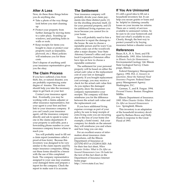### **After A Loss**

Now, do these three things before you do anything else.

- ✍ Take a photo of the way things look before you start cleaning up.
- ✍ Protect your property from further damage by moving items to a safer place, boarding up windows, and patching holes in walls or roofs.
- ✍ Keep receipts for items you bought to clean or protect your property (such as tarpaulins, plywood, etc.). Many policies will reimburse you for these costs.

Don't dispose of anything until your insurance representative gives you the okay.

### **The Claim Process**

If you have suffered a loss from theft, fire, or natural disaster, you are probably experiencing some degree of trauma. This section should help you take the necessary steps to get back on your feet.

Contact your insurance agent first. Eventually, you may be working with a claims adjuster or other insurance representative, but your agent is your first and best link to your insurance company. If you can't reach your insurance agent, call the insurance company directly and ask to speak to someone in the claims department. If your property is unlivable, post a forwarding phone number so your insurance company knows where to reach you.

You will probably need to fill out a claim report (sometimes called a proof-of-loss form). Because this inventory was designed to be very similar to the claim reports used by major insurance companies, filling out these forms should be a breeze with the use of this completed book. The company representative assigned to your case may examine your damaged items and prepare a report for the company. Check the report to make sure it is accurate.

### **The Settlement**

Your insurance company will probably divide your claim payments into three distinct parts: (1) for the dwelling structure itself, (2) for your personal property, and (3) for additional living expenses you incur because you cannot live in your home.

You will probably need to hire a contractor to repair the damage to the house. Be sure to choose a reputable person and be wary! Con artists come out of the woodwork after a major disaster. Your State Attorney General's office and your local Cooperative Extension office have tips on how to choose a reputable contractor.

The settlement for your personal property will be based on either the actual cash value or the replacement cost of your lost or damaged property. If you bought replacement cost coverage, you may receive a check for the actual cash value first. As you replace the damaged property, show the insurance company representative your receipts. The company will then reimburse you for the difference between the actual cash value and the replacement cost.

If you have additional living expense coverage as part of your policy, be sure to keep receipts of extra living costs you are incurring due to the loss of your home (for example, a hotel room). Ask your company for details on the amount they will reimburse you and where and how long you can stay.

For an excellent source of information about insurance claim procedures, call the Illinois Department of Insurance at (217)782-4515 or (312)814-2420. Ask for their free fact sheet, *When Disaster Strikes: What to Do After an Insured Homeowners Loss.* Or look for the text of this fact sheet on the Department of Insurance Internet home page: http://www.state.il.us/ins/

### **If You Are Uninsured**

It's still a good idea to fill out a household inventory list. It can help you secure grants or loans and be helpful in claiming casualty losses on your income tax returns. There are a variety of services available to uninsured victims. So be sure to do your homework and find out what's available to you. Clearly, though, the best way to protect yourself is by buying insurance before a disaster occurs.

### **References**

Bauer, R.A., B. A. Trent, and P.B. DuMontelle. 1993. *Mine Subsidence in Illinois: Facts for Homeowners.* Environmental Geology 144. Illinois State Geological Survey. Champaign, Illinois.

Federal Emergency Management Agency. 1992. FIA -2. *Answers to Questions About the National Flood Insurance Program.* Federal Emergency Management Agency. Washington, D.C.

Garman, T., and R. Forgue. 1994. *Personal Finance.* Boston: Houghton Mifflin.

Illinois Department of Insurance. 1995. *When Disaster Strikes: What to Do After an Insured Homeowners Loss.* Springfield, Illinois.

This inventory is an adaptation of the household inventory developed by Barbara Rowe and Holly Hunts in response to the Great Flood of 1993.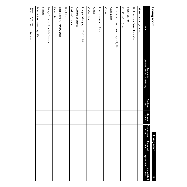| r |  |
|---|--|
|   |  |

Living room **Living room**

**6**

| Item                                          | (Mfr/Brand Name & Serial/Model No.)<br>Description | <b>Purchase</b><br><b>Date</b> | Original<br>Cost | Replacement<br>Cost | <b>Expected</b><br>Life | <b>Depreciation</b> | <b>Actual Cash</b><br>Value |
|-----------------------------------------------|----------------------------------------------------|--------------------------------|------------------|---------------------|-------------------------|---------------------|-----------------------------|
| Air conditioner (window)                      |                                                    |                                |                  |                     |                         |                     |                             |
| Bookcases (not fastened to walls)             |                                                    |                                |                  |                     |                         |                     |                             |
| Books* (p. 34)                                |                                                    |                                |                  |                     |                         |                     |                             |
| Knickknacks * (p. 44)                         |                                                    |                                |                  |                     |                         |                     |                             |
| Cassette tape player, cassette tapes* (p. 35) |                                                    |                                |                  |                     |                         |                     |                             |
| Ceiling fans                                  |                                                    |                                |                  |                     |                         |                     |                             |
| <b>Chairs</b>                                 |                                                    |                                |                  |                     |                         |                     |                             |
| Couches, sofas, sectionals                    |                                                    |                                |                  |                     |                         |                     |                             |
| Clocks                                        |                                                    |                                |                  |                     |                         |                     |                             |
| Coffee tables                                 |                                                    |                                |                  |                     |                         |                     |                             |
| Compact disc player, CDs* (p. 35)             |                                                    |                                |                  |                     |                         |                     |                             |
| Curtains or drapes                            |                                                    |                                |                  |                     |                         |                     |                             |
| Desk and contents                             |                                                    |                                |                  |                     |                         |                     |                             |
| <b>End tables</b>                             |                                                    |                                |                  |                     |                         |                     |                             |
| Fireplace tools, screen, grate                |                                                    |                                |                  |                     |                         |                     |                             |
| Footstools                                    |                                                    |                                |                  |                     |                         |                     |                             |
| Lamps (hanging, floor, light fixtures)        |                                                    |                                |                  |                     |                         |                     |                             |
| Mirrors                                       |                                                    |                                |                  |                     |                         |                     |                             |
| Musical instruments* (p. 48)                  |                                                    |                                |                  |                     |                         |                     |                             |

\*List in special inventory section.<br>Living room inventory continued on next page. \*List in special inventory section. Living room inventory continued on next page.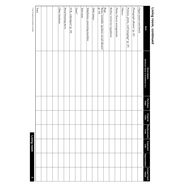| Item                                                  | (Mfr/Brand Name & Serial/Model No.)<br><b>Description</b> | Purchase<br>Date | Original<br>Cost | Replacement<br>Cost | Expected<br>Life | <b>Depreciation</b> | <b>Actual Cash</b><br>Value |
|-------------------------------------------------------|-----------------------------------------------------------|------------------|------------------|---------------------|------------------|---------------------|-----------------------------|
| Organ/piano and bench                                 |                                                           |                  |                  |                     |                  |                     |                             |
| Photograph albums* (p. 47)                            |                                                           |                  |                  |                     |                  |                     |                             |
| Pictures, prints, wall hangings* (p. 47)              |                                                           |                  |                  |                     |                  |                     |                             |
| Pillows                                               |                                                           |                  |                  |                     |                  |                     |                             |
| Plants/flower arrangements                            |                                                           |                  |                  |                     |                  |                     |                             |
| Radios/receivers/equalizers                           |                                                           |                  |                  |                     |                  |                     |                             |
| ${\rm Rugs}$                                          |                                                           |                  |                  |                     |                  |                     |                             |
| Stereo, turntable, speakers, record albums*<br>(p.35) |                                                           |                  |                  |                     |                  |                     |                             |
| Table lamps                                           |                                                           |                  |                  |                     |                  |                     |                             |
| Telephones, answering machine                         |                                                           |                  |                  |                     |                  |                     |                             |
| Television                                            |                                                           |                  |                  |                     |                  |                     |                             |
| $Vases*$                                              |                                                           |                  |                  |                     |                  |                     |                             |
| VCR, videotapes* (p. 35)                              |                                                           |                  |                  |                     |                  |                     |                             |
| Wood-burning stove                                    |                                                           |                  |                  |                     |                  |                     |                             |
| Other furniture:                                      |                                                           |                  |                  |                     |                  |                     |                             |
|                                                       |                                                           |                  |                  |                     |                  |                     |                             |
|                                                       |                                                           |                  |                  |                     |                  |                     |                             |
|                                                       |                                                           |                  |                  |                     |                  |                     |                             |
| Total                                                 |                                                           |                  |                  |                     |                  |                     |                             |

**Living room, continued**

Living room, continued

 $^\ast$  List in special inventory section. \* List in special inventory section.<br>List in special inventory section.

Living room **Living room**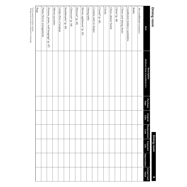| ÷ |  |
|---|--|
|   |  |
|   |  |
|   |  |

Rugs Clocks Buffet Lamps (floor or hanging) Glassware\* (p. 44) Plants/flower arrangements Pictures, prints, wall hangings\* (p. 47) Knickhacks<sup>\*</sup> (p. 44) Flatware\* (p. 44) Electric appliances\* (p. 43) Dining table Curtains and/or drapes Crystal\* (p. 44) China cabinet/hutch China\* (p. 44) Chairs and dining chairs Candlestick holders/candelabra Air conditioner (window) Plants/flower arrangements Pictures, prints, wall hangings\* (p. 47)Mirrors Knickknacks\* (p. 44)  $G$ lassware\* (p.  $44$ ) Flatware\* (p. 44) Electric appliances\* (p. 43) Dining table Curtains and/or drapes  $Crystal^*(p.44)$ China cabinet/hutch China\* (p. 44) Chairs and dining chairs Candlestick holders/candelabra Air conditioner (floor or hanging) (portable) ltem **Value Item** (Mfr/Brand Name & Serial/Model No.) **(Mfr/Brand Name & Serial/Model No.) Description Description**  Purchase<br>Date **Purchase Original Cost Replacement Cost Dining room Dining room Expected Life Depreciation Depreciation** Actual Cash<br>Value **Actual Cash 8**

\*List in special inventory section.<br>Dining room inventory continued on next page. \*List in special inventory section. Dining room inventory continued on next page.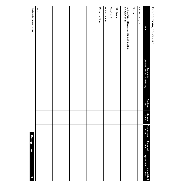|    | ı<br>ı |
|----|--------|
|    | ٠      |
|    |        |
| ť  |        |
|    |        |
|    | I,     |
|    |        |
|    |        |
|    |        |
| ī  |        |
|    |        |
| ı, |        |
|    |        |
|    |        |
|    | ٠      |
|    |        |
|    |        |
|    |        |
|    |        |
|    | Ĺ      |

| ltem                                     | <b>Description</b><br>(Mfr/Brand Name & Serial/Model No.) | Purchase<br>Date | Original<br>Cost | Replacement<br>Cost | Expected<br>Life | <b>Depreciation</b> | Actual Cash<br>Value |
|------------------------------------------|-----------------------------------------------------------|------------------|------------------|---------------------|------------------|---------------------|----------------------|
| Silverware* (p. 44)                      |                                                           |                  |                  |                     |                  |                     |                      |
| Tables                                   |                                                           |                  |                  |                     |                  |                     |                      |
| Table linens, placemats, napkins, napkin |                                                           |                  |                  |                     |                  |                     |                      |
| holders* (p. 50)                         |                                                           |                  |                  |                     |                  |                     |                      |
| Telephones                               |                                                           |                  |                  |                     |                  |                     |                      |
| $Vases^*(p.44)$                          |                                                           |                  |                  |                     |                  |                     |                      |
| Wines, liquors                           |                                                           |                  |                  |                     |                  |                     |                      |
| Other furniture:                         |                                                           |                  |                  |                     |                  |                     |                      |
|                                          |                                                           |                  |                  |                     |                  |                     |                      |
|                                          |                                                           |                  |                  |                     |                  |                     |                      |
|                                          |                                                           |                  |                  |                     |                  |                     |                      |
|                                          |                                                           |                  |                  |                     |                  |                     |                      |
|                                          |                                                           |                  |                  |                     |                  |                     |                      |
|                                          |                                                           |                  |                  |                     |                  |                     |                      |
|                                          |                                                           |                  |                  |                     |                  |                     |                      |
|                                          |                                                           |                  |                  |                     |                  |                     |                      |
|                                          |                                                           |                  |                  |                     |                  |                     |                      |
|                                          |                                                           |                  |                  |                     |                  |                     |                      |
| Total                                    |                                                           |                  |                  |                     |                  |                     |                      |
| *List in special inventory section.      |                                                           |                  |                  |                     | Dining room      |                     | 6                    |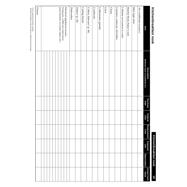| <b>Kitchen/Dreaktast nook</b>         |                                                    |                         |                  |                     |                  | Kitchen/breakfast nook | $\overline{0}$       |
|---------------------------------------|----------------------------------------------------|-------------------------|------------------|---------------------|------------------|------------------------|----------------------|
| Item                                  | (Mfr/Brand Name & Serial/Model No.)<br>Description | Purchase<br><b>Date</b> | Original<br>Cost | Replacement<br>Cost | Expected<br>Life | <b>Depreciation</b>    | Actual Cash<br>Value |
| Air conditioner (window)              |                                                    |                         |                  |                     |                  |                        |                      |
| Baby high chair                       |                                                    |                         |                  |                     |                  |                        |                      |
| Butcher block/baker's rack            |                                                    |                         |                  |                     |                  |                        |                      |
| Cabinets (not fastened to walls)      |                                                    |                         |                  |                     |                  |                        |                      |
| Canisters, cookie jar, oil bottles    |                                                    |                         |                  |                     |                  |                        |                      |
| <b>Chairs</b>                         |                                                    |                         |                  |                     |                  |                        |                      |
| Clock                                 |                                                    |                         |                  |                     |                  |                        |                      |
| Coffeemaker/grinder                   |                                                    |                         |                  |                     |                  |                        |                      |
| Cookbooks                             |                                                    |                         |                  |                     |                  |                        |                      |
| Cutlery, flatware* (p. 44)            |                                                    |                         |                  |                     |                  |                        |                      |
| Cutting boards                        |                                                    |                         |                  |                     |                  |                        |                      |
| Dishes* (p. 44)                       |                                                    |                         |                  |                     |                  |                        |                      |
| Dishwasher                            |                                                    |                         |                  |                     |                  |                        |                      |
| Electrical appliances (toaster,       |                                                    |                         |                  |                     |                  |                        |                      |
| frying pan, waffle iron, hand mixer,  |                                                    |                         |                  |                     |                  |                        |                      |
| pasta machine, ice-cream maker, etc.) |                                                    |                         |                  |                     |                  |                        |                      |
|                                       |                                                    |                         |                  |                     |                  |                        |                      |
|                                       |                                                    |                         |                  |                     |                  |                        |                      |
|                                       |                                                    |                         |                  |                     |                  |                        |                      |
| Freezer                               |                                                    |                         |                  |                     |                  |                        |                      |
|                                       |                                                    |                         |                  |                     |                  |                        |                      |

\*List in special inventory section.<br>Kitchen/breakfast nook inventory continued on next page. \*List in special inventory section. Kitchen/breakfast nook inventory continued on next page.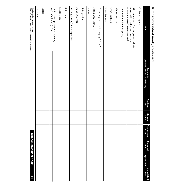| I                        |
|--------------------------|
|                          |
|                          |
| ׇ֚֘                      |
|                          |
|                          |
|                          |
| i<br>ı                   |
| Ï                        |
|                          |
|                          |
| Ì                        |
| <br> <br> <br>l          |
|                          |
| ľ                        |
|                          |
|                          |
| i                        |
|                          |
| í                        |
|                          |
| ī<br>ı<br>$\overline{a}$ |
| ī                        |
|                          |
| I                        |
|                          |
|                          |
| ı<br>I                   |
|                          |
|                          |
|                          |
|                          |
| ı                        |
|                          |

| Item                                                                                            | (Mfr/Brand Name & Serial/Model No.)<br><b>Description</b> | Purchase<br>Date | Original<br>Cost | Replacement<br>Cost | Expected<br>Life              | <b>Depreciation</b> | <b>Actual Cash</b><br>Value |
|-------------------------------------------------------------------------------------------------|-----------------------------------------------------------|------------------|------------------|---------------------|-------------------------------|---------------------|-----------------------------|
| Garbage disposal                                                                                |                                                           |                  |                  |                     |                               |                     |                             |
| Kitchen utensils (rubber spatulas, whisks,                                                      |                                                           |                  |                  |                     |                               |                     |                             |
| cookie cutters, rolling pins, measuring                                                         |                                                           |                  |                  |                     |                               |                     |                             |
| spoons and cups, Tupperware, etc.)<br>Knives/knife holder* (p. 44)                              |                                                           |                  |                  |                     |                               |                     |                             |
| Microwave oven                                                                                  |                                                           |                  |                  |                     |                               |                     |                             |
| Oven/cooktop                                                                                    |                                                           |                  |                  |                     |                               |                     |                             |
| Picnic baskets                                                                                  |                                                           |                  |                  |                     |                               |                     |                             |
| Pictures, prints, wall hangings* (p. 47)                                                        |                                                           |                  |                  |                     |                               |                     |                             |
| Pots, pans, cookware                                                                            |                                                           |                  |                  |                     |                               |                     |                             |
| Radio                                                                                           |                                                           |                  |                  |                     |                               |                     |                             |
| Refrigerator                                                                                    |                                                           |                  |                  |                     |                               |                     |                             |
| Rugs or carpet                                                                                  |                                                           |                  |                  |                     |                               |                     |                             |
| Serving bowls/platters/pitchers                                                                 |                                                           |                  |                  |                     |                               |                     |                             |
| Spice rack                                                                                      |                                                           |                  |                  |                     |                               |                     |                             |
| Staple foods                                                                                    |                                                           |                  |                  |                     |                               |                     |                             |
| Table linens, placemats, napkins,                                                               |                                                           |                  |                  |                     |                               |                     |                             |
| napkin holders* (p. 50)                                                                         |                                                           |                  |                  |                     |                               |                     |                             |
| Tables                                                                                          |                                                           |                  |                  |                     |                               |                     |                             |
| Tea kettle                                                                                      |                                                           |                  |                  |                     |                               |                     |                             |
| *List in special inventory section.<br>Kitchen/breakfast nook inventory continued on next page. |                                                           |                  |                  |                     | <b>Kitchen/breakfast nook</b> |                     | 11                          |

\*List in special inventory section.<br>Kitchen/breakfast nook inventory continued on next page. **Kitchen/breakfast nook 11** \*List in special inventory section. Kitchen/breakfast nook inventory continued on next page.

**Kitchen/breakfast nook**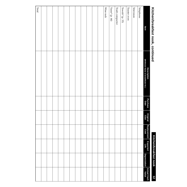## Kitchen/Dreaktast nook, continued **Kitchen/breakfast nook, continued**

## Kitchen/breakfast nook **Kitchen/breakfast nook**

| Kitchen/breakfast nook, continued |                                                    |                  |                  |                     | <b>Kitchen/breakfast nook</b> |                     | $\overline{z}$       |
|-----------------------------------|----------------------------------------------------|------------------|------------------|---------------------|-------------------------------|---------------------|----------------------|
| Item                              | (Mfr/Brand Name & Serial/Model No.)<br>Description | Purchase<br>Date | Original<br>Cost | Replacement<br>Cost | Expected<br>Life              | <b>Depreciation</b> | Actual Cash<br>Value |
| Telephone                         |                                                    |                  |                  |                     |                               |                     |                      |
| Television                        |                                                    |                  |                  |                     |                               |                     |                      |
| Toaster oven                      |                                                    |                  |                  |                     |                               |                     |                      |
| Towels* (p. 33)                   |                                                    |                  |                  |                     |                               |                     |                      |
| Trash compactor                   |                                                    |                  |                  |                     |                               |                     |                      |
| $Vases^*$ (p. 44)                 |                                                    |                  |                  |                     |                               |                     |                      |
| Wine rack                         |                                                    |                  |                  |                     |                               |                     |                      |
|                                   |                                                    |                  |                  |                     |                               |                     |                      |
|                                   |                                                    |                  |                  |                     |                               |                     |                      |
|                                   |                                                    |                  |                  |                     |                               |                     |                      |
|                                   |                                                    |                  |                  |                     |                               |                     |                      |
|                                   |                                                    |                  |                  |                     |                               |                     |                      |
|                                   |                                                    |                  |                  |                     |                               |                     |                      |
|                                   |                                                    |                  |                  |                     |                               |                     |                      |
|                                   |                                                    |                  |                  |                     |                               |                     |                      |
|                                   |                                                    |                  |                  |                     |                               |                     |                      |
|                                   |                                                    |                  |                  |                     |                               |                     |                      |
|                                   |                                                    |                  |                  |                     |                               |                     |                      |
| Total                             |                                                    |                  |                  |                     |                               |                     |                      |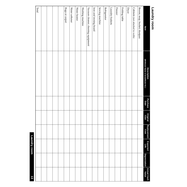### Laundry room **Laundry room**

| $\overline{3}$       |                     | Laundry room     |                     |                  |                  |                                                    |                                    |
|----------------------|---------------------|------------------|---------------------|------------------|------------------|----------------------------------------------------|------------------------------------|
|                      |                     |                  |                     |                  |                  |                                                    | Total                              |
|                      |                     |                  |                     |                  |                  |                                                    |                                    |
|                      |                     |                  |                     |                  |                  |                                                    |                                    |
|                      |                     |                  |                     |                  |                  |                                                    |                                    |
|                      |                     |                  |                     |                  |                  |                                                    |                                    |
|                      |                     |                  |                     |                  |                  |                                                    | Rugs or carpet                     |
|                      |                     |                  |                     |                  |                  |                                                    | Water softener                     |
|                      |                     |                  |                     |                  |                  |                                                    | Water heater                       |
|                      |                     |                  |                     |                  |                  |                                                    | Washing machine                    |
|                      |                     |                  |                     |                  |                  |                                                    | Vacuum cleaner, cleaning equipment |
|                      |                     |                  |                     |                  |                  |                                                    | Iron and ironing board             |
|                      |                     |                  |                     |                  |                  |                                                    | Sewing machine                     |
|                      |                     |                  |                     |                  |                  |                                                    | Refrigerator                       |
|                      |                     |                  |                     |                  |                  |                                                    | Laundry baskets                    |
|                      |                     |                  |                     |                  |                  |                                                    | Freezer                            |
|                      |                     |                  |                     |                  |                  |                                                    | Folding table                      |
|                      |                     |                  |                     |                  |                  |                                                    | Dryer                              |
|                      |                     |                  |                     |                  |                  |                                                    | Cabinets (not attached to walls)   |
|                      |                     |                  |                     |                  |                  |                                                    | Broom, mop, bucket, dustpan        |
| Actual Cash<br>Value | <b>Depreciation</b> | Expected<br>Life | Replacement<br>Cost | Original<br>Cost | Purchase<br>Date | (Mfr/Brand Name & Serial/Model No.)<br>Description | Item                               |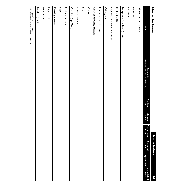### Master bedroom **Master bedroom**

**Master bedroom Master bedroom**

**14**

| Item                              | (Mfr/Brand Name & Serial/Model No.)<br>Description | <b>Purchase</b><br>Date | Original<br>Cost | Replacement<br>Cost | Expected<br>Life | <b>Depreciation</b> | <b>Actual Cash</b><br>Value |
|-----------------------------------|----------------------------------------------------|-------------------------|------------------|---------------------|------------------|---------------------|-----------------------------|
| Air conditioner (window)          |                                                    |                         |                  |                     |                  |                     |                             |
| Aquarium                          |                                                    |                         |                  |                     |                  |                     |                             |
| Bed frames                        |                                                    |                         |                  |                     |                  |                     |                             |
| Bedspreads, blankets* (p. 33)     |                                                    |                         |                  |                     |                  |                     |                             |
| Books* (p. 34)                    |                                                    |                         |                  |                     |                  |                     |                             |
| Bookcases (not fastened to walls) |                                                    |                         |                  |                     |                  |                     |                             |
| Ceiling fan                       |                                                    |                         |                  |                     |                  |                     |                             |
| Chaise longue/ love seat          |                                                    |                         |                  |                     |                  |                     |                             |
| Chest of drawers, dressers        |                                                    |                         |                  |                     |                  |                     |                             |
| <b>Chairs</b>                     |                                                    |                         |                  |                     |                  |                     |                             |
| Clocks                            |                                                    |                         |                  |                     |                  |                     |                             |
| Clothes hamper                    |                                                    |                         |                  |                     |                  |                     |                             |
| Clothing* (pp. 37-41)             |                                                    |                         |                  |                     |                  |                     |                             |
| Curtains or drapes                |                                                    |                         |                  |                     |                  |                     |                             |
| Desk                              |                                                    |                         |                  |                     |                  |                     |                             |
| Dressing screens                  |                                                    |                         |                  |                     |                  |                     |                             |
| Hope chest                        |                                                    |                         |                  |                     |                  |                     |                             |
| Humidifier                        |                                                    |                         |                  |                     |                  |                     |                             |
| Jewelry* (p. 45)                  |                                                    |                         |                  |                     |                  |                     |                             |

\*List in special inventory section.<br>Master bedroom inventory continued on next page. \*List in special inventory section. Master bedroom inventory continued on next page.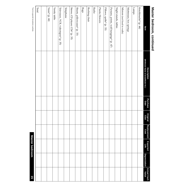| I<br>י |
|--------|
| s<br>۱ |
|        |
|        |
| ī<br>ı |
|        |
|        |
|        |
|        |
|        |
| n      |
|        |
|        |
|        |
|        |
| ı      |
|        |
|        |
|        |
|        |
| ı      |

Ë

| Item                                     | <b>Description<br/>(Mfr/Brand Name &amp; Serial/Model No.)</b> | Purchase<br>Date | Original<br>Cost | Replacement<br>Cost | Expected<br>宗 | <b>Depreciation</b> | Actual Cash<br>Value |
|------------------------------------------|----------------------------------------------------------------|------------------|------------------|---------------------|---------------|---------------------|----------------------|
| Knickknacks <sup>*</sup> (p. 44)         |                                                                |                  |                  |                     |               |                     |                      |
| Lamps                                    |                                                                |                  |                  |                     |               |                     |                      |
| Mattresses, box springs                  |                                                                |                  |                  |                     |               |                     |                      |
| Mirrors (not fixed to walls)             |                                                                |                  |                  |                     |               |                     |                      |
| Night stands, tables                     |                                                                |                  |                  |                     |               |                     |                      |
| Pictures, prints, wall hangings* (p. 47) |                                                                |                  |                  |                     |               |                     |                      |
| Pillows, quilts* (p. 33)                 |                                                                |                  |                  |                     |               |                     |                      |
| Plants/flowers                           |                                                                |                  |                  |                     |               |                     |                      |
| Radio                                    |                                                                |                  |                  |                     |               |                     |                      |
| Rocking chair                            |                                                                |                  |                  |                     |               |                     |                      |
| ${\rm Rugs}$                             |                                                                |                  |                  |                     |               |                     |                      |
| Sheets, pillowcases* (p. 33)             |                                                                |                  |                  |                     |               |                     |                      |
| Stereo, CD player, CDs* (p. 35)          |                                                                |                  |                  |                     |               |                     |                      |
| Telephone                                |                                                                |                  |                  |                     |               |                     |                      |
| Television, VCR, videotapes* (p. 35)     |                                                                |                  |                  |                     |               |                     |                      |
| Vanity table                             |                                                                |                  |                  |                     |               |                     |                      |
| $Vases^*(p.44)$                          |                                                                |                  |                  |                     |               |                     |                      |
|                                          |                                                                |                  |                  |                     |               |                     |                      |
| Total                                    |                                                                |                  |                  |                     |               |                     |                      |
|                                          |                                                                |                  |                  |                     |               |                     |                      |

\*List in special inventory section. \*List in special inventory section.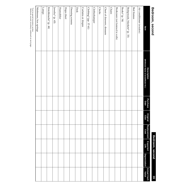### Bedroom, second **Bedroom, second**

Bedroom, second **Bedroom, second**

**16**

| Item                              | (Mfr/Brand Name & Serial/Model No.)<br><b>Description</b> | Purchase<br>Date | Original<br>Cost | Replacement<br>Cost | Expected<br>Life | <b>Depreciation</b> | Actual Cash<br>Value |
|-----------------------------------|-----------------------------------------------------------|------------------|------------------|---------------------|------------------|---------------------|----------------------|
| Air conditioner (window)          |                                                           |                  |                  |                     |                  |                     |                      |
| Bed frames                        |                                                           |                  |                  |                     |                  |                     |                      |
| Bedspreads, blankets* (p. 33)     |                                                           |                  |                  |                     |                  |                     |                      |
| Books* (p. 34)                    |                                                           |                  |                  |                     |                  |                     |                      |
| Bookcases (not fastened to walls) |                                                           |                  |                  |                     |                  |                     |                      |
| <b>Chairs</b>                     |                                                           |                  |                  |                     |                  |                     |                      |
| Chest of drawers, dressers        |                                                           |                  |                  |                     |                  |                     |                      |
| Clocks                            |                                                           |                  |                  |                     |                  |                     |                      |
| Clotheshamper                     |                                                           |                  |                  |                     |                  |                     |                      |
| Clothing* (pp. 37-41)             |                                                           |                  |                  |                     |                  |                     |                      |
| Curtains or drapes                |                                                           |                  |                  |                     |                  |                     |                      |
| Desk                              |                                                           |                  |                  |                     |                  |                     |                      |
| Dressing screens                  |                                                           |                  |                  |                     |                  |                     |                      |
| Hope chest                        |                                                           |                  |                  |                     |                  |                     |                      |
| Humidifier                        |                                                           |                  |                  |                     |                  |                     |                      |
| Jewelry* (p. 45)                  |                                                           |                  |                  |                     |                  |                     |                      |
| Knickknacks* (p. 44)              |                                                           |                  |                  |                     |                  |                     |                      |
| ${\tt Fams}$                      |                                                           |                  |                  |                     |                  |                     |                      |
| Mattresses, box springs           |                                                           |                  |                  |                     |                  |                     |                      |

"List in special inventory section.<br>Bedroom, second, inventory continued on next page. \*List in special inventory section. Bedroom, second, inventory continued on next page.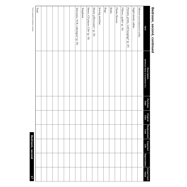| Bedroom, second, continued               |                                                    |                         |                  |                            |                  |                     |                      |
|------------------------------------------|----------------------------------------------------|-------------------------|------------------|----------------------------|------------------|---------------------|----------------------|
| Item                                     | (Mfr/Brand Name & Serial/Model No.)<br>Description | <b>Purchase</b><br>Date | Original<br>Cost | Replacement<br> <br>  Cost | Expected<br>Life | <b>Depreciation</b> | Actual Cash<br>Value |
| Mirrors (not fastened to walls)          |                                                    |                         |                  |                            |                  |                     |                      |
| Night stands, tables                     |                                                    |                         |                  |                            |                  |                     |                      |
| Pictures, prints, wall hangings* (p. 47) |                                                    |                         |                  |                            |                  |                     |                      |
| Pillows, quilts* (p. 33)                 |                                                    |                         |                  |                            |                  |                     |                      |
| Plants/flowers                           |                                                    |                         |                  |                            |                  |                     |                      |
| Radio                                    |                                                    |                         |                  |                            |                  |                     |                      |
| Rugs                                     |                                                    |                         |                  |                            |                  |                     |                      |
| Sewing machine                           |                                                    |                         |                  |                            |                  |                     |                      |
| Sheets, pillowcases* (p. 33)             |                                                    |                         |                  |                            |                  |                     |                      |
| Stereo, CD player, CDs* (p. 35)          |                                                    |                         |                  |                            |                  |                     |                      |
| Telephone                                |                                                    |                         |                  |                            |                  |                     |                      |
| Television, VCR, videotapes* (p. 35)     |                                                    |                         |                  |                            |                  |                     |                      |
|                                          |                                                    |                         |                  |                            |                  |                     |                      |
|                                          |                                                    |                         |                  |                            |                  |                     |                      |
|                                          |                                                    |                         |                  |                            |                  |                     |                      |
|                                          |                                                    |                         |                  |                            |                  |                     |                      |
|                                          |                                                    |                         |                  |                            |                  |                     |                      |
|                                          |                                                    |                         |                  |                            |                  |                     |                      |
| Total                                    |                                                    |                         |                  |                            |                  |                     |                      |
| *List in special inventory section.      |                                                    |                         |                  |                            | Bedroom, second  |                     | $\angle$             |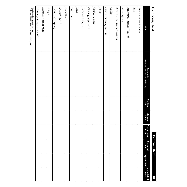### Bedroom, third **Bedroom, third**

### Bedroom, third **Bedroom, third**

**18**

| Item                              | (Mfr/Brand Name & Serial/Model No.)<br>Description | Purchase<br>Date | Original<br>Cost | <b>Replacement</b><br><b>Cost</b> | <b>Expected</b><br>Life | <b>Depreciation</b> | Actual Cash<br>Value |
|-----------------------------------|----------------------------------------------------|------------------|------------------|-----------------------------------|-------------------------|---------------------|----------------------|
| Air conditioner (window)          |                                                    |                  |                  |                                   |                         |                     |                      |
| Beds                              |                                                    |                  |                  |                                   |                         |                     |                      |
| Bedspreads, blankets* (p. 33)     |                                                    |                  |                  |                                   |                         |                     |                      |
| Books* (p. 34)                    |                                                    |                  |                  |                                   |                         |                     |                      |
| Bookcases (not fastened to walls) |                                                    |                  |                  |                                   |                         |                     |                      |
| <b>Chairs</b>                     |                                                    |                  |                  |                                   |                         |                     |                      |
| Chest of drawers, dressers        |                                                    |                  |                  |                                   |                         |                     |                      |
| Clocks                            |                                                    |                  |                  |                                   |                         |                     |                      |
| Clothes hamper                    |                                                    |                  |                  |                                   |                         |                     |                      |
| Clothing* (pp. 37-41)             |                                                    |                  |                  |                                   |                         |                     |                      |
| Curtains or drapes                |                                                    |                  |                  |                                   |                         |                     |                      |
| Desk                              |                                                    |                  |                  |                                   |                         |                     |                      |
| Hope chest                        |                                                    |                  |                  |                                   |                         |                     |                      |
| Humidifier                        |                                                    |                  |                  |                                   |                         |                     |                      |
| Jewelry* (p. 45)                  |                                                    |                  |                  |                                   |                         |                     |                      |
| Knickknacks* (p. 44)              |                                                    |                  |                  |                                   |                         |                     |                      |
| <b>Lamps</b>                      |                                                    |                  |                  |                                   |                         |                     |                      |
| Mattresses, box springs           |                                                    |                  |                  |                                   |                         |                     |                      |
| Mirrors (not fastened to walls)   |                                                    |                  |                  |                                   |                         |                     |                      |

"List in special inventory section.<br>Bedroom, third, inventory continued on next page. \*List in special inventory section. Bedroom, third, inventory continued on next page.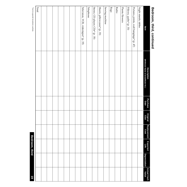| Bedroom, third, continued                |                                                           |                         |                  |                     |                  |              |                      |
|------------------------------------------|-----------------------------------------------------------|-------------------------|------------------|---------------------|------------------|--------------|----------------------|
| Item                                     | (Mfr/Brand Name & Serial/Model No.)<br><b>Description</b> | <b>Purchase</b><br>Date | Original<br>Cost | Replacement<br>Cost | Expected<br>Life | Depreciation | Actual Cash<br>Value |
| Night stands, tables                     |                                                           |                         |                  |                     |                  |              |                      |
| Pictures, prints, wall hangings* (p. 47) |                                                           |                         |                  |                     |                  |              |                      |
| Pillows, quilts* (p. 33)                 |                                                           |                         |                  |                     |                  |              |                      |
| Plants/flowers                           |                                                           |                         |                  |                     |                  |              |                      |
| Radio                                    |                                                           |                         |                  |                     |                  |              |                      |
| Rugs                                     |                                                           |                         |                  |                     |                  |              |                      |
| Sewing machine                           |                                                           |                         |                  |                     |                  |              |                      |
| Sheets, pillowcases* (p. 33)             |                                                           |                         |                  |                     |                  |              |                      |
| Stereo, CD player, CDs* (p. 35)          |                                                           |                         |                  |                     |                  |              |                      |
| Telephone                                |                                                           |                         |                  |                     |                  |              |                      |
| Television, VCR, videotapes* (p. 35)     |                                                           |                         |                  |                     |                  |              |                      |
|                                          |                                                           |                         |                  |                     |                  |              |                      |
|                                          |                                                           |                         |                  |                     |                  |              |                      |
|                                          |                                                           |                         |                  |                     |                  |              |                      |
|                                          |                                                           |                         |                  |                     |                  |              |                      |
|                                          |                                                           |                         |                  |                     |                  |              |                      |
|                                          |                                                           |                         |                  |                     |                  |              |                      |
|                                          |                                                           |                         |                  |                     |                  |              |                      |
| Total                                    |                                                           |                         |                  |                     |                  |              |                      |
| *List in special inventory section.      |                                                           |                         |                  |                     | Bedroom, third   |              | 61                   |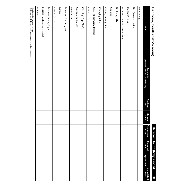## Decroom, form, (papy's room) **Bedroom, fourth (baby's room)**

## **Bedroom, fourth (baby's room)** Bedroom, fourth (baby's room) 20

| Item                             | (Mfr/Brand Name & Serial/Model No.)<br>Description | Purchase<br>Date | Original<br>Cost | Replacement<br>Cost | Expected<br>Life | <b>Depreciation</b> | <b>Actual Cash</b><br>Value |
|----------------------------------|----------------------------------------------------|------------------|------------------|---------------------|------------------|---------------------|-----------------------------|
| <b>Baby swing</b>                |                                                    |                  |                  |                     |                  |                     |                             |
| Bed (bassinet or crib)           |                                                    |                  |                  |                     |                  |                     |                             |
| Blankets* (p. 33)                |                                                    |                  |                  |                     |                  |                     |                             |
| Bookcases (not attached to wall) |                                                    |                  |                  |                     |                  |                     |                             |
| Books* (p. 34)                   |                                                    |                  |                  |                     |                  |                     |                             |
| Car seat                         |                                                    |                  |                  |                     |                  |                     |                             |
| Chairs/rocking chair             |                                                    |                  |                  |                     |                  |                     |                             |
| Changing table                   |                                                    |                  |                  |                     |                  |                     |                             |
| Chest of drawers, dressers       |                                                    |                  |                  |                     |                  |                     |                             |
| Clock                            |                                                    |                  |                  |                     |                  |                     |                             |
| Clothing* (pp. 37-41)            |                                                    |                  |                  |                     |                  |                     |                             |
| Curtains or drapes               |                                                    |                  |                  |                     |                  |                     |                             |
| Humidifier                       |                                                    |                  |                  |                     |                  |                     |                             |
| Infant carrier/baby seat         |                                                    |                  |                  |                     |                  |                     |                             |
| $I$ amps                         |                                                    |                  |                  |                     |                  |                     |                             |
| Linens <sup>*</sup> (p. 33)      |                                                    |                  |                  |                     |                  |                     |                             |
| Mattress, box springs            |                                                    |                  |                  |                     |                  |                     |                             |
| Mirrors (not fastened to walls)  |                                                    |                  |                  |                     |                  |                     |                             |
| <b>Mobiles</b>                   |                                                    |                  |                  |                     |                  |                     |                             |

\*List in special inventory section.<br>Bedroom, fourth (baby's room), inventory continued on next page. \*List in special inventory section. Bedroom, fourth (baby's room), inventory continued on next page.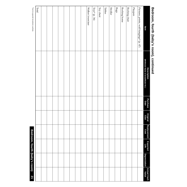| I<br>Ú<br>ı<br>I<br>Ì |
|-----------------------|
| ľ<br>I<br>l           |
| ֠                     |
| l<br>Ļ                |
| t<br>١<br>ľ<br>Ì<br>ĺ |
| I                     |
| I<br>i                |
| ֡֡֡֡֡֡֡֡              |
|                       |
| ï                     |
|                       |
| t<br>I                |
|                       |

 $^*{\sf List}$  in special inventory section. \*List in special inventory section.

| Bedroom, fourth (baby's room), continued |                                                           |                         |                  |                     |                  |                     |                      |
|------------------------------------------|-----------------------------------------------------------|-------------------------|------------------|---------------------|------------------|---------------------|----------------------|
| Item                                     | <b>Description</b><br>(Mfr/Brand Name & Serial/Model No.) | <b>Purchase</b><br>Date | Original<br>Cost | Replacement<br>Cost | Expected<br>Life | <b>Depreciation</b> | Actual Cash<br>Value |
| Pictures, prints, wall hangings* (p. 47) |                                                           |                         |                  |                     |                  |                     |                      |
| Playpen                                  |                                                           |                         |                  |                     |                  |                     |                      |
| Rocking chair                            |                                                           |                         |                  |                     |                  |                     |                      |
| Rocking horse                            |                                                           |                         |                  |                     |                  |                     |                      |
| Rugs                                     |                                                           |                         |                  |                     |                  |                     |                      |
| <b>Stroller</b>                          |                                                           |                         |                  |                     |                  |                     |                      |
| Tables                                   |                                                           |                         |                  |                     |                  |                     |                      |
| Toy chest                                |                                                           |                         |                  |                     |                  |                     |                      |
| $Toys^*$ (p. 36)                         |                                                           |                         |                  |                     |                  |                     |                      |
| Walker/exerciser                         |                                                           |                         |                  |                     |                  |                     |                      |
|                                          |                                                           |                         |                  |                     |                  |                     |                      |
|                                          |                                                           |                         |                  |                     |                  |                     |                      |
|                                          |                                                           |                         |                  |                     |                  |                     |                      |
|                                          |                                                           |                         |                  |                     |                  |                     |                      |
|                                          |                                                           |                         |                  |                     |                  |                     |                      |
|                                          |                                                           |                         |                  |                     |                  |                     |                      |
|                                          |                                                           |                         |                  |                     |                  |                     |                      |
|                                          |                                                           |                         |                  |                     |                  |                     |                      |
| $\rm Total$                              |                                                           |                         |                  |                     |                  |                     |                      |
|                                          |                                                           |                         |                  |                     |                  |                     |                      |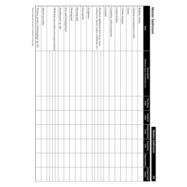| Œ      |
|--------|
| E      |
|        |
| ī<br>c |
| ١      |
| í      |
|        |
|        |
|        |
|        |
|        |
|        |
|        |
|        |

**Master bathroom Master bathroom**

**22**

| ltem                                              | (Mfr/Brand Name & Serial/Model No.)<br>Description | Purchase<br>Date | Original<br>Cost | Replacement<br>Cost | Expected<br>Life | <b>Depreciation</b> | Actual Cash<br>Value |
|---------------------------------------------------|----------------------------------------------------|------------------|------------------|---------------------|------------------|---------------------|----------------------|
| Baskets, wicker                                   |                                                    |                  |                  |                     |                  |                     |                      |
| Cabinets (not fastened to walls)                  |                                                    |                  |                  |                     |                  |                     |                      |
| <b>Chairs</b>                                     |                                                    |                  |                  |                     |                  |                     |                      |
| Clothes hamper                                    |                                                    |                  |                  |                     |                  |                     |                      |
| Contact lenses                                    |                                                    |                  |                  |                     |                  |                     |                      |
| Cosmetics, toilet accessories                     |                                                    |                  |                  |                     |                  |                     |                      |
| Curtains                                          |                                                    |                  |                  |                     |                  |                     |                      |
| Electrical appliances (hair dryer, razor,         |                                                    |                  |                  |                     |                  |                     |                      |
| curling iron, electric rollers, toothbrush, etc.) |                                                    |                  |                  |                     |                  |                     |                      |
|                                                   |                                                    |                  |                  |                     |                  |                     |                      |
| Eyeglasses                                        |                                                    |                  |                  |                     |                  |                     |                      |
| First aid kit                                     |                                                    |                  |                  |                     |                  |                     |                      |
| Hearing aids                                      |                                                    |                  |                  |                     |                  |                     |                      |
| Heating pad                                       |                                                    |                  |                  |                     |                  |                     |                      |
| Iron and ironing board                            |                                                    |                  |                  |                     |                  |                     |                      |
| Knickknacks* (p. 44)                              |                                                    |                  |                  |                     |                  |                     |                      |
| Medicines (prescription and nonprescription)      |                                                    |                  |                  |                     |                  |                     |                      |
|                                                   |                                                    |                  |                  |                     |                  |                     |                      |
| Mirrors (portable)                                |                                                    |                  |                  |                     |                  |                     |                      |
|                                                   |                                                    |                  |                  |                     |                  |                     |                      |
| Pictures, prints, wall hangings* (p. 47)          |                                                    |                  |                  |                     |                  |                     |                      |

\*Master bathroom inventory continued on next page. \*Master bathroom inventory continued on next page.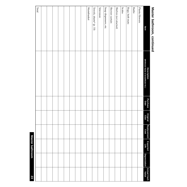## Master bathroom, continued **Master bathroom, continued**

| Item                    | (Mfr/Brand Name & Serial/Model No.)<br>Description | Purchase<br>Date | Original<br>Cost | Replacement<br>Cost | Expected<br>Life | <b>Depreciation</b> | Actual Cash<br>  Value |
|-------------------------|----------------------------------------------------|------------------|------------------|---------------------|------------------|---------------------|------------------------|
| Plants/flowers          |                                                    |                  |                  |                     |                  |                     |                        |
| Radio                   |                                                    |                  |                  |                     |                  |                     |                        |
| Rugs, bath mats         |                                                    |                  |                  |                     |                  |                     |                        |
| Scales                  |                                                    |                  |                  |                     |                  |                     |                        |
| Shelves (not attached)  |                                                    |                  |                  |                     |                  |                     |                        |
| Shower curtain          |                                                    |                  |                  |                     |                  |                     |                        |
| Soap dispensers, etc.   |                                                    |                  |                  |                     |                  |                     |                        |
| Television              |                                                    |                  |                  |                     |                  |                     |                        |
| Towels, sheets* (p. 33) |                                                    |                  |                  |                     |                  |                     |                        |
| Wastebasket             |                                                    |                  |                  |                     |                  |                     |                        |
|                         |                                                    |                  |                  |                     |                  |                     |                        |
|                         |                                                    |                  |                  |                     |                  |                     |                        |
|                         |                                                    |                  |                  |                     |                  |                     |                        |
|                         |                                                    |                  |                  |                     |                  |                     |                        |
|                         |                                                    |                  |                  |                     |                  |                     |                        |
|                         |                                                    |                  |                  |                     |                  |                     |                        |
|                         |                                                    |                  |                  |                     |                  |                     |                        |
|                         |                                                    |                  |                  |                     |                  |                     |                        |
| Total                   |                                                    |                  |                  |                     |                  |                     |                        |

**Master bathroom 23**

**23** 

**Master bathroom**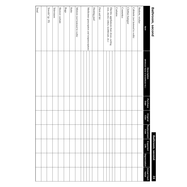### Bathroom, second **Bathroom, second**

Bathroom, second **Bathroom, second**

| Item                                                                                  | (Mfr/Brand Name & Serial/Model No.)<br>Description | Purchase<br>Date | Original<br>Cost | Replacement<br>Cost | <b>Expected</b><br>Life | <b>Depreciation</b> | Actual Cash<br>Value |
|---------------------------------------------------------------------------------------|----------------------------------------------------|------------------|------------------|---------------------|-------------------------|---------------------|----------------------|
| Baskets, wicker                                                                       |                                                    |                  |                  |                     |                         |                     |                      |
| Cabinets (not fastened to walls)                                                      |                                                    |                  |                  |                     |                         |                     |                      |
| Clothes hamper                                                                        |                                                    |                  |                  |                     |                         |                     |                      |
| Cosmetics                                                                             |                                                    |                  |                  |                     |                         |                     |                      |
| Curtains                                                                              |                                                    |                  |                  |                     |                         |                     |                      |
|                                                                                       |                                                    |                  |                  |                     |                         |                     |                      |
| iron, electric rollers, toothbrush, etc.)<br>Electric appliances (hair dryer, curling |                                                    |                  |                  |                     |                         |                     |                      |
|                                                                                       |                                                    |                  |                  |                     |                         |                     |                      |
| First aid kit                                                                         |                                                    |                  |                  |                     |                         |                     |                      |
| Heating pad                                                                           |                                                    |                  |                  |                     |                         |                     |                      |
|                                                                                       |                                                    |                  |                  |                     |                         |                     |                      |
| Medicines (prescription and nonprescription)                                          |                                                    |                  |                  |                     |                         |                     |                      |
|                                                                                       |                                                    |                  |                  |                     |                         |                     |                      |
| Mirrors (not fastened to walls)                                                       |                                                    |                  |                  |                     |                         |                     |                      |
| Radio                                                                                 |                                                    |                  |                  |                     |                         |                     |                      |
| ${\rm gauge}$                                                                         |                                                    |                  |                  |                     |                         |                     |                      |
| Shower curtain                                                                        |                                                    |                  |                  |                     |                         |                     |                      |
| Television                                                                            |                                                    |                  |                  |                     |                         |                     |                      |
| Towels* (p. 33)                                                                       |                                                    |                  |                  |                     |                         |                     |                      |
|                                                                                       |                                                    |                  |                  |                     |                         |                     |                      |
| Total                                                                                 |                                                    |                  |                  |                     |                         |                     |                      |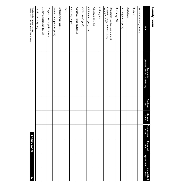| Item                                               | (Mfr/Brand Name & Serial/Model No.)<br><b>Description</b> | Purchase<br>Date | Original<br>Cost | Replacement<br>Cost | Expected<br>Life | Depreciation | <b>Actual Cash</b><br>Value |
|----------------------------------------------------|-----------------------------------------------------------|------------------|------------------|---------------------|------------------|--------------|-----------------------------|
| Air conditioner (window)                           |                                                           |                  |                  |                     |                  |              |                             |
| <b>Baskets</b>                                     |                                                           |                  |                  |                     |                  |              |                             |
| Binoculars                                         |                                                           |                  |                  |                     |                  |              |                             |
| Board games* (p. 48)                               |                                                           |                  |                  |                     |                  |              |                             |
| Books* (p. 34)                                     |                                                           |                  |                  |                     |                  |              |                             |
| Bookcases (not fastened to walls)                  |                                                           |                  |                  |                     |                  |              |                             |
| Cassette tapes, compact discs,<br>records* (p. 35) |                                                           |                  |                  |                     |                  |              |                             |
| Ceiling fan                                        |                                                           |                  |                  |                     |                  |              |                             |
| Chairs, footstools                                 |                                                           |                  |                  |                     |                  |              |                             |
| Children's toys* (p. 36)                           |                                                           |                  |                  |                     |                  |              |                             |
| Collections* (p. 48)                               |                                                           |                  |                  |                     |                  |              |                             |
| Couches, sofas, sectionals                         |                                                           |                  |                  |                     |                  |              |                             |
| Curtains, drapes                                   |                                                           |                  |                  |                     |                  |              |                             |
| Desk                                               |                                                           |                  |                  |                     |                  |              |                             |
| Entertainment center                               |                                                           |                  |                  |                     |                  |              |                             |
| Exercise equipment* (p. 48)                        |                                                           |                  |                  |                     |                  |              |                             |
| Fireplace tools, grate, screen                     |                                                           |                  |                  |                     |                  |              |                             |
| Hobby equipment* (p. 48)                           |                                                           |                  |                  |                     |                  |              |                             |
| Knickknacks* (p. 44)                               |                                                           |                  |                  |                     |                  |              |                             |
|                                                    |                                                           |                  |                  |                     |                  |              |                             |

\*List in special inventory section.<br>Family room inventory continued on next page. \*List in special inventory section. Family room inventory continued on next page.

**Family room Family room 25**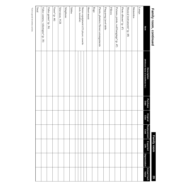| 1<br>ï<br>Í<br>۱<br>۵<br>۱ |
|----------------------------|
| i                          |
|                            |
|                            |
|                            |
|                            |
| í                          |
|                            |
|                            |
|                            |
|                            |
|                            |
| ٠                          |
|                            |
|                            |
| г                          |
| Í<br>Ī                     |

**Family room Family room**

**26**

| Item                                                      | (Mfr/Brand Name & Serial/Model No.)<br><b>Description</b> | Purchase<br>Date | Original<br>Cost | <b>Replacement</b><br><b>Cost</b> | <b>Expected</b><br>Life | <b>Depreciation</b> | Actual Cash<br>Value |
|-----------------------------------------------------------|-----------------------------------------------------------|------------------|------------------|-----------------------------------|-------------------------|---------------------|----------------------|
| Lamps                                                     |                                                           |                  |                  |                                   |                         |                     |                      |
| <b>Mementos</b>                                           |                                                           |                  |                  |                                   |                         |                     |                      |
| Musical instruments* (p. 48)                              |                                                           |                  |                  |                                   |                         |                     |                      |
| Photo albums* (p. 47)                                     |                                                           |                  |                  |                                   |                         |                     |                      |
| Pictures, prints, wall hangings* (p. 47)                  |                                                           |                  |                  |                                   |                         |                     |                      |
| Pillows                                                   |                                                           |                  |                  |                                   |                         |                     |                      |
| Ping-pong/pool table                                      |                                                           |                  |                  |                                   |                         |                     |                      |
| Plants, planters/flower arrangements                      |                                                           |                  |                  |                                   |                         |                     |                      |
| ${\rm Rugs}$                                              |                                                           |                  |                  |                                   |                         |                     |                      |
| Sheet music                                               |                                                           |                  |                  |                                   |                         |                     |                      |
|                                                           |                                                           |                  |                  |                                   |                         |                     |                      |
| deck, turntable)<br>Stereo equipment (CD player, cassette |                                                           |                  |                  |                                   |                         |                     |                      |
|                                                           |                                                           |                  |                  |                                   |                         |                     |                      |
| Tables                                                    |                                                           |                  |                  |                                   |                         |                     |                      |
| Telephone                                                 |                                                           |                  |                  |                                   |                         |                     |                      |
| Television, VCR                                           |                                                           |                  |                  |                                   |                         |                     |                      |
| Vases* (p. 44)                                            |                                                           |                  |                  |                                   |                         |                     |                      |
| Video games* (p. 36)                                      |                                                           |                  |                  |                                   |                         |                     |                      |
| Video camera, videotapes* (p. 35)                         |                                                           |                  |                  |                                   |                         |                     |                      |
| Total                                                     |                                                           |                  |                  |                                   |                         |                     |                      |

 $\mbox{*List\,in special\,inventory\,section}.$ \*List in special inventory section.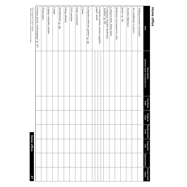| t<br>C |  |
|--------|--|
| г.     |  |
|        |  |
|        |  |
| Ľ      |  |

| Item                                                | (Mfr/Brand Name & Serial/Model No.)<br><b>Description</b> | <b>Purchase</b><br>Date | Original<br>Cost | <b>Replacement</b><br>Cost | Expected<br>Life | <b>Depreciation</b> | <b>Actual Cash</b><br>Value |
|-----------------------------------------------------|-----------------------------------------------------------|-------------------------|------------------|----------------------------|------------------|---------------------|-----------------------------|
| Adding machine/calculator                           |                                                           |                         |                  |                            |                  |                     |                             |
| Air conditioner (window)                            |                                                           |                         |                  |                            |                  |                     |                             |
| Awards/diplomas                                     |                                                           |                         |                  |                            |                  |                     |                             |
| Books* (p. 34)                                      |                                                           |                         |                  |                            |                  |                     |                             |
| Bookcases (not fastened to walls)                   |                                                           |                         |                  |                            |                  |                     |                             |
| Compact disks, blank disks                          |                                                           |                         |                  |                            |                  |                     |                             |
| Computer, monitor, keyboard,<br>modem* (p. 42)      |                                                           |                         |                  |                            |                  |                     |                             |
|                                                     |                                                           |                         |                  |                            |                  |                     |                             |
| paper, stand<br>Computer printer, printer supplies, |                                                           |                         |                  |                            |                  |                     |                             |
|                                                     |                                                           |                         |                  |                            |                  |                     |                             |
| Computer software, games* (p. 42)                   |                                                           |                         |                  |                            |                  |                     |                             |
| <b>Chairs</b>                                       |                                                           |                         |                  |                            |                  |                     |                             |
| Desk, accessories                                   |                                                           |                         |                  |                            |                  |                     |                             |
| FAX machine                                         |                                                           |                         |                  |                            |                  |                     |                             |
| Filing cabinets                                     |                                                           |                         |                  |                            |                  |                     |                             |
| Knickknacks* (p. 44)                                |                                                           |                         |                  |                            |                  |                     |                             |
| Lamps                                               |                                                           |                         |                  |                            |                  |                     |                             |
| Laptop computer, printer                            |                                                           |                         |                  |                            |                  |                     |                             |
| Photocopier                                         |                                                           |                         |                  |                            |                  |                     |                             |
| Pictures, prints, wall hangings* (p. 47)            |                                                           |                         |                  |                            |                  |                     |                             |
| $\ddot{\phantom{a}}$                                |                                                           |                         |                  |                            |                  |                     |                             |

\*List in special inventory section.<br>Home office inventory continued on next page. \*List in special inventory section. Home office inventory continued on next page.

**Home office Home office**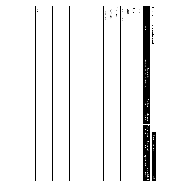### **Home office, continued Home office, continued**

| I<br>ī                          |  |
|---------------------------------|--|
| ľ<br>ī<br>١                     |  |
| I<br>í<br>l                     |  |
| ١                               |  |
| ı<br>1                          |  |
| I<br>י<br>í<br>I<br>ľ<br>ī<br>١ |  |
| ١                               |  |
|                                 |  |
|                                 |  |
|                                 |  |
|                                 |  |

| $\cdot$       |                                                                |                  |                  |                     |                  |                     |                      |
|---------------|----------------------------------------------------------------|------------------|------------------|---------------------|------------------|---------------------|----------------------|
| Item          | <b>Description<br/>(Mfr/Brand Name &amp; Serial/Model No.)</b> | Purchase<br>Date | Original<br>Cost | Replacement<br>Cost | Expected<br>Life | <b>Depreciation</b> | Actual Cash<br>Value |
| Radio         |                                                                |                  |                  |                     |                  |                     |                      |
| ${\rm Rugs}$  |                                                                |                  |                  |                     |                  |                     |                      |
| Tables        |                                                                |                  |                  |                     |                  |                     |                      |
| Tape recorder |                                                                |                  |                  |                     |                  |                     |                      |
| Telephone     |                                                                |                  |                  |                     |                  |                     |                      |
| Typewriter    |                                                                |                  |                  |                     |                  |                     |                      |
| Wastebasket   |                                                                |                  |                  |                     |                  |                     |                      |
|               |                                                                |                  |                  |                     |                  |                     |                      |
|               |                                                                |                  |                  |                     |                  |                     |                      |
|               |                                                                |                  |                  |                     |                  |                     |                      |
|               |                                                                |                  |                  |                     |                  |                     |                      |
|               |                                                                |                  |                  |                     |                  |                     |                      |
|               |                                                                |                  |                  |                     |                  |                     |                      |
|               |                                                                |                  |                  |                     |                  |                     |                      |
|               |                                                                |                  |                  |                     |                  |                     |                      |
|               |                                                                |                  |                  |                     |                  |                     |                      |
|               |                                                                |                  |                  |                     |                  |                     |                      |
|               |                                                                |                  |                  |                     |                  |                     |                      |
| Total         |                                                                |                  |                  |                     |                  |                     |                      |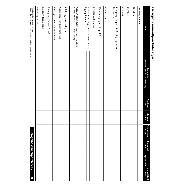| j           |
|-------------|
| Ì           |
| í           |
|             |
|             |
| i<br>i      |
|             |
|             |
|             |
|             |
|             |
|             |
|             |
|             |
|             |
|             |
|             |
|             |
|             |
|             |
|             |
| J<br>ׇ֚֕֡   |
|             |
|             |
|             |
|             |
|             |
|             |
| j           |
| i<br>ı<br>I |
|             |

| Item                                                      | (Mfr/Brand Name & Serial/Model No.)<br><b>Description</b> | Purchase<br>Date | Original<br>Cost | Replacement<br>Cost | Expected<br>Life | Depreciation | <b>Actual Cash</b><br>Value |
|-----------------------------------------------------------|-----------------------------------------------------------|------------------|------------------|---------------------|------------------|--------------|-----------------------------|
| Auto equipment                                            |                                                           |                  |                  |                     |                  |              |                             |
| <b>Benches</b>                                            |                                                           |                  |                  |                     |                  |              |                             |
| <b>Bicycles</b>                                           |                                                           |                  |                  |                     |                  |              |                             |
| Cabinets                                                  |                                                           |                  |                  |                     |                  |              |                             |
|                                                           |                                                           |                  |                  |                     |                  |              |                             |
| Camping equipment (sleeping bags, tents,<br>backpacks)    |                                                           |                  |                  |                     |                  |              |                             |
|                                                           |                                                           |                  |                  |                     |                  |              |                             |
| Canned goods                                              |                                                           |                  |                  |                     |                  |              |                             |
| Exercise equipment* (p. 48)                               |                                                           |                  |                  |                     |                  |              |                             |
| Freezer (and contents)                                    |                                                           |                  |                  |                     |                  |              |                             |
|                                                           |                                                           |                  |                  |                     |                  |              |                             |
| ing equipment<br>Furnace, heating, central air-condition- |                                                           |                  |                  |                     |                  |              |                             |
|                                                           |                                                           |                  |                  |                     |                  |              |                             |
|                                                           |                                                           |                  |                  |                     |                  |              |                             |
| Garden equipment (lawn mower, wheel-                      |                                                           |                  |                  |                     |                  |              |                             |
| barrow, rakes, hoes, shovels, tiller)                     |                                                           |                  |                  |                     |                  |              |                             |
| Glider, gym or swing set                                  |                                                           |                  |                  |                     |                  |              |                             |
| Grass seed, fertilizer, bird feed                         |                                                           |                  |                  |                     |                  |              |                             |
| Grill (gas/charcoal), equipment                           |                                                           |                  |                  |                     |                  |              |                             |
| Hobby equipment* (p. 48)                                  |                                                           |                  |                  |                     |                  |              |                             |
| Holiday decorations                                       |                                                           |                  |                  |                     |                  |              |                             |
| Hoses/sprinklers                                          |                                                           |                  |                  |                     |                  |              |                             |
| *I ist in special inventory section                       |                                                           |                  |                  |                     |                  |              |                             |

"List in special inventory section.<br>Garage/basement/porch/deck inventory continued on next page. \*List in special inventory section. Garage/basement/porch/deck inventory continued on next page.

## **Garage/basement/porch/deck** Garage/basement/porch/deck 29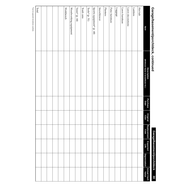## Garage/basement/porch/deck, continued **Garage/basement/porch/deck, continued**

## **Garage/basement/porch/deck** Garage/basement/porch/deck 30

| Item                      | (Mfr/Brand Name & Serial/Model No.)<br><b>Description</b> | Purchase<br>Date | Original<br>Cost | Replacement<br>Cost | <b>Expected</b><br>Life | <b>Depreciation</b> | Actual Cash<br>Value |
|---------------------------|-----------------------------------------------------------|------------------|------------------|---------------------|-------------------------|---------------------|----------------------|
| Hot tub                   |                                                           |                  |                  |                     |                         |                     |                      |
| Ladders                   |                                                           |                  |                  |                     |                         |                     |                      |
| Lawn decorations          |                                                           |                  |                  |                     |                         |                     |                      |
| Lawn furniture            |                                                           |                  |                  |                     |                         |                     |                      |
| Luggage                   |                                                           |                  |                  |                     |                         |                     |                      |
| Patio furniture           |                                                           |                  |                  |                     |                         |                     |                      |
| Planters                  |                                                           |                  |                  |                     |                         |                     |                      |
| Snowblower                |                                                           |                  |                  |                     |                         |                     |                      |
| Sports equipment* (p. 48) |                                                           |                  |                  |                     |                         |                     |                      |
| Tools* (p. 51)            |                                                           |                  |                  |                     |                         |                     |                      |
| Trash cans                |                                                           |                  |                  |                     |                         |                     |                      |
| Vases* (p. 44)            |                                                           |                  |                  |                     |                         |                     |                      |
| Woodworking equipment     |                                                           |                  |                  |                     |                         |                     |                      |
| Workbench                 |                                                           |                  |                  |                     |                         |                     |                      |
|                           |                                                           |                  |                  |                     |                         |                     |                      |
|                           |                                                           |                  |                  |                     |                         |                     |                      |
|                           |                                                           |                  |                  |                     |                         |                     |                      |
|                           |                                                           |                  |                  |                     |                         |                     |                      |
| Total                     |                                                           |                  |                  |                     |                         |                     |                      |

\*List in special inventory section. \*List in special inventory section.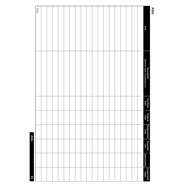| <b>Attic</b> |                                                                |                  |                  |                     |                  |                     |                      |
|--------------|----------------------------------------------------------------|------------------|------------------|---------------------|------------------|---------------------|----------------------|
| Item         | <b>Description<br/>(Mfr/Brand Name &amp; Serial/Model No.)</b> | Purchase<br>Date | Original<br>Cost | Replacement<br>Cost | Expected<br>Life | <b>Depreciation</b> | Actual Cash<br>Value |
|              |                                                                |                  |                  |                     |                  |                     |                      |
|              |                                                                |                  |                  |                     |                  |                     |                      |
|              |                                                                |                  |                  |                     |                  |                     |                      |
|              |                                                                |                  |                  |                     |                  |                     |                      |
|              |                                                                |                  |                  |                     |                  |                     |                      |
|              |                                                                |                  |                  |                     |                  |                     |                      |
|              |                                                                |                  |                  |                     |                  |                     |                      |
|              |                                                                |                  |                  |                     |                  |                     |                      |
|              |                                                                |                  |                  |                     |                  |                     |                      |
|              |                                                                |                  |                  |                     |                  |                     |                      |
|              |                                                                |                  |                  |                     |                  |                     |                      |
|              |                                                                |                  |                  |                     |                  |                     |                      |
|              |                                                                |                  |                  |                     |                  |                     |                      |
|              |                                                                |                  |                  |                     |                  |                     |                      |
|              |                                                                |                  |                  |                     |                  |                     |                      |
|              |                                                                |                  |                  |                     |                  |                     |                      |
|              |                                                                |                  |                  |                     |                  |                     |                      |
|              |                                                                |                  |                  |                     |                  |                     |                      |
| Total        |                                                                |                  |                  |                     |                  |                     |                      |
|              |                                                                |                  |                  | Attic               |                  |                     | 31                   |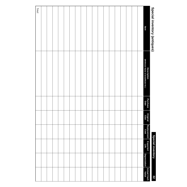| ו<br>֧֚֚֚֚֚֚֚֚֚֚֚֚֚֚֚֚֚֚֚֬֡֡֡֡֡֡֡֡֡֬֝<br>j<br>ä<br>۰ |
|------------------------------------------------------|
| ı                                                    |
| ۰<br>z                                               |
|                                                      |

**Special inventory Special inventory**

| Special inventory (antiques) |                                                                |                  |                  |                     | <b>Special inventory</b> |                     | 32                   |
|------------------------------|----------------------------------------------------------------|------------------|------------------|---------------------|--------------------------|---------------------|----------------------|
| Item                         | <b>Description<br/>(Mfr/Brand Name &amp; Serial/Model No.)</b> | Purchase<br>Date | Original<br>Cost | Replacement<br>Cost | Expected<br>Life         | <b>Depreciation</b> | Actual Cash<br>Value |
|                              |                                                                |                  |                  |                     |                          |                     |                      |
|                              |                                                                |                  |                  |                     |                          |                     |                      |
|                              |                                                                |                  |                  |                     |                          |                     |                      |
|                              |                                                                |                  |                  |                     |                          |                     |                      |
|                              |                                                                |                  |                  |                     |                          |                     |                      |
|                              |                                                                |                  |                  |                     |                          |                     |                      |
|                              |                                                                |                  |                  |                     |                          |                     |                      |
|                              |                                                                |                  |                  |                     |                          |                     |                      |
|                              |                                                                |                  |                  |                     |                          |                     |                      |
|                              |                                                                |                  |                  |                     |                          |                     |                      |
|                              |                                                                |                  |                  |                     |                          |                     |                      |
|                              |                                                                |                  |                  |                     |                          |                     |                      |
|                              |                                                                |                  |                  |                     |                          |                     |                      |
|                              |                                                                |                  |                  |                     |                          |                     |                      |
|                              |                                                                |                  |                  |                     |                          |                     |                      |
|                              |                                                                |                  |                  |                     |                          |                     |                      |
|                              |                                                                |                  |                  |                     |                          |                     |                      |
|                              |                                                                |                  |                  |                     |                          |                     |                      |
| Total                        |                                                                |                  |                  |                     |                          |                     |                      |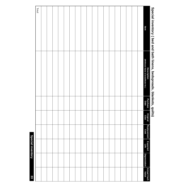### Special inventory (bed and bath linens, bedspreads, blankets, quilts) Total **Special inventory ( bed and bath linens, bedspreads, blankets, quilts)**Item **Iftem is a serial of the commental of the cost** Life I Depreciation Value **Description<br>(Mfr/Brand Name & Serial/Model No.) (Mfr/Brand Name & Serial/Model No.) Description Purchase Purchase Original Cost** Replacement<br>Cost **Replacement Expected Life Depreciation Depreciation** Actual Cash<br>Value **Actual Cash**

**33**

**Special inventory**

**Special inventory**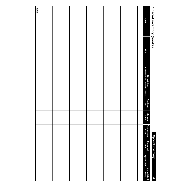## Special inventory (pooks) **Special inventory (books)**

### **Special inventory Special inventory**

|  |  |  |  |  |  |  |  |  | <b>Author</b>                                             |   |
|--|--|--|--|--|--|--|--|--|-----------------------------------------------------------|---|
|  |  |  |  |  |  |  |  |  | Title                                                     | ٠ |
|  |  |  |  |  |  |  |  |  | <b>Description</b><br>(Mfr/Brand Name & Serial/Model No.) |   |
|  |  |  |  |  |  |  |  |  | Purchase<br>Date                                          |   |
|  |  |  |  |  |  |  |  |  | Original<br>Cost                                          |   |
|  |  |  |  |  |  |  |  |  | Replacement<br>Cost                                       |   |
|  |  |  |  |  |  |  |  |  | Expected<br>Life                                          |   |
|  |  |  |  |  |  |  |  |  | <b>Depreciation</b>                                       |   |
|  |  |  |  |  |  |  |  |  | Actual Cash<br>Value                                      |   |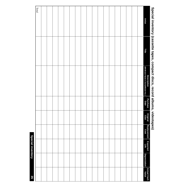### TotalSpecial inventory (cassette tapes, compact discs, record albums, videotapes) **Special inventory (cassette tapes, compact discs, record albums, videotapes) Artist Value Artist Title** Description<br>(Mfr/Brand Name & Serial/Model No.) **(Mfr/Brand Name & Serial/Model No.) Description**  Purchase<br>Date **Purchase Original Cost Replacement Cost Expected Life Depreciation Depreciation** Actual Cash<br>Value **Actual Cash**

**35**

**Special inventory**

**Special inventory**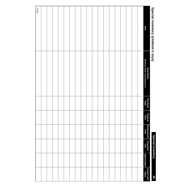## Special inventory (children's toys) **Special inventory (children's toys)**

**Special inventory Special inventory**

| Item<br>Description<br>(Mfr/Brand Name & Serial/Model No.) | Special inventory (children's toys) |                  |                  |                     | <b>Special inventory</b> |                     | 36                   |
|------------------------------------------------------------|-------------------------------------|------------------|------------------|---------------------|--------------------------|---------------------|----------------------|
|                                                            |                                     | Purchase<br>Date | Original<br>Cost | Replacement<br>Cost | Expected<br>Life         | <b>Depreciation</b> | Actual Cash<br>Value |
|                                                            |                                     |                  |                  |                     |                          |                     |                      |
|                                                            |                                     |                  |                  |                     |                          |                     |                      |
|                                                            |                                     |                  |                  |                     |                          |                     |                      |
|                                                            |                                     |                  |                  |                     |                          |                     |                      |
|                                                            |                                     |                  |                  |                     |                          |                     |                      |
|                                                            |                                     |                  |                  |                     |                          |                     |                      |
|                                                            |                                     |                  |                  |                     |                          |                     |                      |
|                                                            |                                     |                  |                  |                     |                          |                     |                      |
|                                                            |                                     |                  |                  |                     |                          |                     |                      |
|                                                            |                                     |                  |                  |                     |                          |                     |                      |
|                                                            |                                     |                  |                  |                     |                          |                     |                      |
|                                                            |                                     |                  |                  |                     |                          |                     |                      |
|                                                            |                                     |                  |                  |                     |                          |                     |                      |
|                                                            |                                     |                  |                  |                     |                          |                     |                      |
|                                                            |                                     |                  |                  |                     |                          |                     |                      |
|                                                            |                                     |                  |                  |                     |                          |                     |                      |
|                                                            |                                     |                  |                  |                     |                          |                     |                      |
|                                                            |                                     |                  |                  |                     |                          |                     |                      |
|                                                            | Total                               |                  |                  |                     |                          |                     |                      |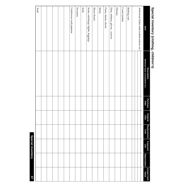## Special inventory (clothing, children's) **Special inventory (clothing, children's)**

| Item                                               | (Mfr/Brand Name & Serial/Model No.)<br><b>Description</b> | Purchase<br>Date | Original<br>Cost | Replacement<br>Cost | <b>Expected</b><br>Life | <b>Depreciation</b> | Actual Cash |
|----------------------------------------------------|-----------------------------------------------------------|------------------|------------------|---------------------|-------------------------|---------------------|-------------|
| Activewear (ballet outfit, football uniform, etc.) |                                                           |                  |                  |                     |                         |                     |             |
|                                                    |                                                           |                  |                  |                     |                         |                     |             |
| Bathing suit                                       |                                                           |                  |                  |                     |                         |                     |             |
| Coats/jackets                                      |                                                           |                  |                  |                     |                         |                     |             |
| Dresses                                            |                                                           |                  |                  |                     |                         |                     |             |
| Hats, mittens, gloves, scarves                     |                                                           |                  |                  |                     |                         |                     |             |
| Pants, slacks, shorts                              |                                                           |                  |                  |                     |                         |                     |             |
| <b>Shirts</b>                                      |                                                           |                  |                  |                     |                         |                     |             |
| Shoes/boots                                        |                                                           |                  |                  |                     |                         |                     |             |
| Socks, stockings/tights, leggings                  |                                                           |                  |                  |                     |                         |                     |             |
| Suits                                              |                                                           |                  |                  |                     |                         |                     |             |
| <b>Sweaters</b>                                    |                                                           |                  |                  |                     |                         |                     |             |
| Underwear and pajamas                              |                                                           |                  |                  |                     |                         |                     |             |
|                                                    |                                                           |                  |                  |                     |                         |                     |             |
|                                                    |                                                           |                  |                  |                     |                         |                     |             |
|                                                    |                                                           |                  |                  |                     |                         |                     |             |
|                                                    |                                                           |                  |                  |                     |                         |                     |             |
|                                                    |                                                           |                  |                  |                     |                         |                     |             |
| Total                                              |                                                           |                  |                  |                     |                         |                     |             |
|                                                    |                                                           |                  |                  |                     |                         |                     |             |

**Special inventory**

**Special inventory**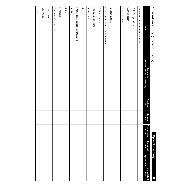## Special invertory (clothing, men's) **Special inventory (clothing, men's)**

### **Special inventory Special inventory**

| Special inventory (clothing, men's)  |                                                    |                  |                  |                     | <b>Special inventory</b> |                     | 38                   |
|--------------------------------------|----------------------------------------------------|------------------|------------------|---------------------|--------------------------|---------------------|----------------------|
| ltem                                 | (Mfr/Brand Name & Serial/Model No.)<br>Description | Purchase<br>Date | Original<br>Cost | Replacement<br>Cost | Expected<br>Life         | <b>Depreciation</b> | Actual Cash<br>Value |
| Activewear (sweats, swimsuits, etc.) |                                                    |                  |                  |                     |                          |                     |                      |
| Belts/suspenders                     |                                                    |                  |                  |                     |                          |                     |                      |
| Gloves, scarves                      |                                                    |                  |                  |                     |                          |                     |                      |
| Handkerchiefs                        |                                                    |                  |                  |                     |                          |                     |                      |
| Hats                                 |                                                    |                  |                  |                     |                          |                     |                      |
| Jackets, blazers                     |                                                    |                  |                  |                     |                          |                     |                      |
| Overcoats, raincoats, windbreakers   |                                                    |                  |                  |                     |                          |                     |                      |
| Pajamas, robes                       |                                                    |                  |                  |                     |                          |                     |                      |
| Pants, slacks, jeans                 |                                                    |                  |                  |                     |                          |                     |                      |
| Shoes/boots                          |                                                    |                  |                  |                     |                          |                     |                      |
| <b>Shorts</b>                        |                                                    |                  |                  |                     |                          |                     |                      |
| Shirts/dress shirts/casual shirts    |                                                    |                  |                  |                     |                          |                     |                      |
| Socks                                |                                                    |                  |                  |                     |                          |                     |                      |
| Suits                                |                                                    |                  |                  |                     |                          |                     |                      |
| Sweaters                             |                                                    |                  |                  |                     |                          |                     |                      |
| Ties/tie tacks/cuff links            |                                                    |                  |                  |                     |                          |                     |                      |
| Underwear                            |                                                    |                  |                  |                     |                          |                     |                      |
| Umbrellas                            |                                                    |                  |                  |                     |                          |                     |                      |
| Total                                |                                                    |                  |                  |                     |                          |                     |                      |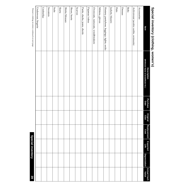### **Special inventory Special inventory**

**39** 

Women's clothing inventory continued on next page. Women's clothing inventory continued on next page.  $\textbf{S}$ Doecial inventory continued on next page.  $\textbf{S}$ 

| ltem                                        | (Mfr/Brand Name & Serial/Model No.)<br><b>Description</b> | Purchase<br>Date | Original<br>Cost | Replacement<br>Cost | Expected<br>Life | <b>Depreciation</b> | Actual Cash<br>Value |
|---------------------------------------------|-----------------------------------------------------------|------------------|------------------|---------------------|------------------|---------------------|----------------------|
| Accessories                                 |                                                           |                  |                  |                     |                  |                     |                      |
| Activewear (aerobic outfits, swimsuits)     |                                                           |                  |                  |                     |                  |                     |                      |
| <b>Belts</b>                                |                                                           |                  |                  |                     |                  |                     |                      |
| Dresses                                     |                                                           |                  |                  |                     |                  |                     |                      |
| Hats                                        |                                                           |                  |                  |                     |                  |                     |                      |
| Jackets, blazers                            |                                                           |                  |                  |                     |                  |                     |                      |
| Hosiery, pantyhose, leggings, tights, socks |                                                           |                  |                  |                     |                  |                     |                      |
| Mittens, gloves                             |                                                           |                  |                  |                     |                  |                     |                      |
| Overcoats, raincoats, windbreakers          |                                                           |                  |                  |                     |                  |                     |                      |
| Pajamas/robes                               |                                                           |                  |                  |                     |                  |                     |                      |
| Pants, slacks, jeans, shorts                |                                                           |                  |                  |                     |                  |                     |                      |
| Scarves                                     |                                                           |                  |                  |                     |                  |                     |                      |
| Shoes, boots                                |                                                           |                  |                  |                     |                  |                     |                      |
| Shirts/blouses                              |                                                           |                  |                  |                     |                  |                     |                      |
| <b>Skirts</b>                               |                                                           |                  |                  |                     |                  |                     |                      |
| Suits                                       |                                                           |                  |                  |                     |                  |                     |                      |
| Sweaters                                    |                                                           |                  |                  |                     |                  |                     |                      |
| Umbrellas                                   |                                                           |                  |                  |                     |                  |                     |                      |
| Underwear, lingerie                         |                                                           |                  |                  |                     |                  |                     |                      |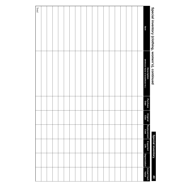| Special inventory (clothing, women's), continued |                                                                |                  |                  |                     | Special inventory |                     | $\mathbf{d}$         |
|--------------------------------------------------|----------------------------------------------------------------|------------------|------------------|---------------------|-------------------|---------------------|----------------------|
| Item                                             | <b>Description<br/>(Mfr/Brand Name &amp; Serial/Model No.)</b> | Purchase<br>Date | Original<br>Cost | Replacement<br>Cost | Expected<br>Life  | <b>Depreciation</b> | Actual Cash<br>Value |
|                                                  |                                                                |                  |                  |                     |                   |                     |                      |
|                                                  |                                                                |                  |                  |                     |                   |                     |                      |
|                                                  |                                                                |                  |                  |                     |                   |                     |                      |
|                                                  |                                                                |                  |                  |                     |                   |                     |                      |
|                                                  |                                                                |                  |                  |                     |                   |                     |                      |
|                                                  |                                                                |                  |                  |                     |                   |                     |                      |
|                                                  |                                                                |                  |                  |                     |                   |                     |                      |
|                                                  |                                                                |                  |                  |                     |                   |                     |                      |
|                                                  |                                                                |                  |                  |                     |                   |                     |                      |
|                                                  |                                                                |                  |                  |                     |                   |                     |                      |
|                                                  |                                                                |                  |                  |                     |                   |                     |                      |
|                                                  |                                                                |                  |                  |                     |                   |                     |                      |
|                                                  |                                                                |                  |                  |                     |                   |                     |                      |
|                                                  |                                                                |                  |                  |                     |                   |                     |                      |
|                                                  |                                                                |                  |                  |                     |                   |                     |                      |
|                                                  |                                                                |                  |                  |                     |                   |                     |                      |
|                                                  |                                                                |                  |                  |                     |                   |                     |                      |
|                                                  |                                                                |                  |                  |                     |                   |                     |                      |
| Total                                            |                                                                |                  |                  |                     |                   |                     |                      |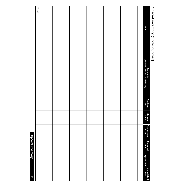## Special inventory (clothing, other) **Special inventory (clothing, other)**

| 41                   |                     | <b>Special inventory</b> |                     |                  |                  |                                                                |       |
|----------------------|---------------------|--------------------------|---------------------|------------------|------------------|----------------------------------------------------------------|-------|
|                      |                     |                          |                     |                  |                  |                                                                | Total |
|                      |                     |                          |                     |                  |                  |                                                                |       |
|                      |                     |                          |                     |                  |                  |                                                                |       |
|                      |                     |                          |                     |                  |                  |                                                                |       |
|                      |                     |                          |                     |                  |                  |                                                                |       |
|                      |                     |                          |                     |                  |                  |                                                                |       |
|                      |                     |                          |                     |                  |                  |                                                                |       |
|                      |                     |                          |                     |                  |                  |                                                                |       |
|                      |                     |                          |                     |                  |                  |                                                                |       |
|                      |                     |                          |                     |                  |                  |                                                                |       |
|                      |                     |                          |                     |                  |                  |                                                                |       |
|                      |                     |                          |                     |                  |                  |                                                                |       |
|                      |                     |                          |                     |                  |                  |                                                                |       |
|                      |                     |                          |                     |                  |                  |                                                                |       |
|                      |                     |                          |                     |                  |                  |                                                                |       |
|                      |                     |                          |                     |                  |                  |                                                                |       |
|                      |                     |                          |                     |                  |                  |                                                                |       |
|                      |                     |                          |                     |                  |                  |                                                                |       |
|                      |                     |                          |                     |                  |                  |                                                                |       |
| Actual Cash<br>Value | <b>Depreciation</b> | Expected<br>Life         | Replacement<br>Cost | Original<br>Cost | Purchase<br>Date | <b>Description<br/>(Mfr/Brand Name &amp; Serial/Model No.)</b> | Item  |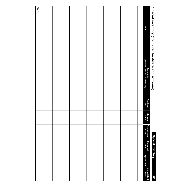| Special inventory (computer hardware and software) |                                                                |                  |                  |                     | <b>Special inventory</b> |                     | 42                   |
|----------------------------------------------------|----------------------------------------------------------------|------------------|------------------|---------------------|--------------------------|---------------------|----------------------|
| Item                                               | <b>Description<br/>(Mfr/Brand Name &amp; Serial/Model No.)</b> | Purchase<br>Date | Original<br>Cost | Replacement<br>Cost | Expected<br>Life         | <b>Depreciation</b> | Actual Cash<br>Value |
|                                                    |                                                                |                  |                  |                     |                          |                     |                      |
|                                                    |                                                                |                  |                  |                     |                          |                     |                      |
|                                                    |                                                                |                  |                  |                     |                          |                     |                      |
|                                                    |                                                                |                  |                  |                     |                          |                     |                      |
|                                                    |                                                                |                  |                  |                     |                          |                     |                      |
|                                                    |                                                                |                  |                  |                     |                          |                     |                      |
|                                                    |                                                                |                  |                  |                     |                          |                     |                      |
|                                                    |                                                                |                  |                  |                     |                          |                     |                      |
|                                                    |                                                                |                  |                  |                     |                          |                     |                      |
|                                                    |                                                                |                  |                  |                     |                          |                     |                      |
|                                                    |                                                                |                  |                  |                     |                          |                     |                      |
|                                                    |                                                                |                  |                  |                     |                          |                     |                      |
|                                                    |                                                                |                  |                  |                     |                          |                     |                      |
|                                                    |                                                                |                  |                  |                     |                          |                     |                      |
|                                                    |                                                                |                  |                  |                     |                          |                     |                      |
|                                                    |                                                                |                  |                  |                     |                          |                     |                      |
|                                                    |                                                                |                  |                  |                     |                          |                     |                      |
|                                                    |                                                                |                  |                  |                     |                          |                     |                      |
| Total                                              |                                                                |                  |                  |                     |                          |                     |                      |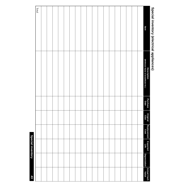## Special inventory (electrical appliances) **Special inventory (electrical appliances)**

|                      |                     |                  |                     |                  |                  |                                                                | $\rm Total$ |
|----------------------|---------------------|------------------|---------------------|------------------|------------------|----------------------------------------------------------------|-------------|
|                      |                     |                  |                     |                  |                  |                                                                |             |
|                      |                     |                  |                     |                  |                  |                                                                |             |
|                      |                     |                  |                     |                  |                  |                                                                |             |
|                      |                     |                  |                     |                  |                  |                                                                |             |
|                      |                     |                  |                     |                  |                  |                                                                |             |
|                      |                     |                  |                     |                  |                  |                                                                |             |
|                      |                     |                  |                     |                  |                  |                                                                |             |
|                      |                     |                  |                     |                  |                  |                                                                |             |
|                      |                     |                  |                     |                  |                  |                                                                |             |
|                      |                     |                  |                     |                  |                  |                                                                |             |
|                      |                     |                  |                     |                  |                  |                                                                |             |
|                      |                     |                  |                     |                  |                  |                                                                |             |
|                      |                     |                  |                     |                  |                  |                                                                |             |
|                      |                     |                  |                     |                  |                  |                                                                |             |
|                      |                     |                  |                     |                  |                  |                                                                |             |
|                      |                     |                  |                     |                  |                  |                                                                |             |
|                      |                     |                  |                     |                  |                  |                                                                |             |
|                      |                     |                  |                     |                  |                  |                                                                |             |
| Actual Cash<br>Value | <b>Depreciation</b> | Expected<br>Life | Replacement<br>Cost | Original<br>Cost | Purchase<br>Date | <b>Description<br/>(Mfr/Brand Name &amp; Serial/Model No.)</b> | Item        |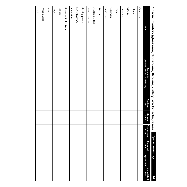| Special inventory (glassware, dinnerware, flatware, cutlery, knickknacks,vases) |                                                           |                  |                  |                     | Special inventory       |                     | 44                   |
|---------------------------------------------------------------------------------|-----------------------------------------------------------|------------------|------------------|---------------------|-------------------------|---------------------|----------------------|
| Item                                                                            | (Mfr/Brand Name & Serial/Model No.)<br><b>Description</b> | Purchase<br>Date | Original<br>Cost | Replacement<br>Cost | <b>Expected</b><br>Life | <b>Depreciation</b> | Actual Cash<br>Value |
| Coffee set                                                                      |                                                           |                  |                  |                     |                         |                     |                      |
| China                                                                           |                                                           |                  |                  |                     |                         |                     |                      |
| Crystal                                                                         |                                                           |                  |                  |                     |                         |                     |                      |
| Decanters                                                                       |                                                           |                  |                  |                     |                         |                     |                      |
| Dishes                                                                          |                                                           |                  |                  |                     |                         |                     |                      |
| <b>Glassware</b>                                                                |                                                           |                  |                  |                     |                         |                     |                      |
| Knickknacks                                                                     |                                                           |                  |                  |                     |                         |                     |                      |
| Knives                                                                          |                                                           |                  |                  |                     |                         |                     |                      |
| Napkin holders                                                                  |                                                           |                  |                  |                     |                         |                     |                      |
| Punch bowl set                                                                  |                                                           |                  |                  |                     |                         |                     |                      |
| Serving pieces                                                                  |                                                           |                  |                  |                     |                         |                     |                      |
| Silver flatware                                                                 |                                                           |                  |                  |                     |                         |                     |                      |
| Silver chest                                                                    |                                                           |                  |                  |                     |                         |                     |                      |
| Stainless steel flatware                                                        |                                                           |                  |                  |                     |                         |                     |                      |
| Tea set                                                                         |                                                           |                  |                  |                     |                         |                     |                      |
| $_{\rm{Trays}}$                                                                 |                                                           |                  |                  |                     |                         |                     |                      |
| Vases                                                                           |                                                           |                  |                  |                     |                         |                     |                      |
| Wine glasses                                                                    |                                                           |                  |                  |                     |                         |                     |                      |
| Total                                                                           |                                                           |                  |                  |                     |                         |                     |                      |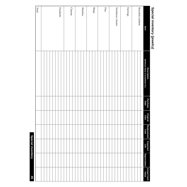## Special inventory (jewelry) **Special inventory (jewelry)**

| Item              | <b>Description<br/>(Mfr/Brand Name &amp; Serial/Model No.)</b> | Purchase<br>Date | Original<br>Cost | Replacement<br>Cost | Expected<br>Life | <b>Depreciation</b> | Actual Cash<br>  Value |
|-------------------|----------------------------------------------------------------|------------------|------------------|---------------------|------------------|---------------------|------------------------|
| Bracelets/anklets |                                                                |                  |                  |                     |                  |                     |                        |
|                   |                                                                |                  |                  |                     |                  |                     |                        |
| <b>Earrings</b>   |                                                                |                  |                  |                     |                  |                     |                        |
|                   |                                                                |                  |                  |                     |                  |                     |                        |
| Necklaces/chains  |                                                                |                  |                  |                     |                  |                     |                        |
|                   |                                                                |                  |                  |                     |                  |                     |                        |
|                   |                                                                |                  |                  |                     |                  |                     |                        |
| Pins              |                                                                |                  |                  |                     |                  |                     |                        |
|                   |                                                                |                  |                  |                     |                  |                     |                        |
| Rings             |                                                                |                  |                  |                     |                  |                     |                        |
|                   |                                                                |                  |                  |                     |                  |                     |                        |
|                   |                                                                |                  |                  |                     |                  |                     |                        |
| Watches           |                                                                |                  |                  |                     |                  |                     |                        |
|                   |                                                                |                  |                  |                     |                  |                     |                        |
|                   |                                                                |                  |                  |                     |                  |                     |                        |
| <b>Charms</b>     |                                                                |                  |                  |                     |                  |                     |                        |
|                   |                                                                |                  |                  |                     |                  |                     |                        |
|                   |                                                                |                  |                  |                     |                  |                     |                        |
| Pendants          |                                                                |                  |                  |                     |                  |                     |                        |
|                   |                                                                |                  |                  |                     |                  |                     |                        |
|                   |                                                                |                  |                  |                     |                  |                     |                        |
|                   |                                                                |                  |                  |                     |                  |                     |                        |
|                   |                                                                |                  |                  |                     |                  |                     |                        |
| Total             |                                                                |                  |                  |                     |                  |                     |                        |
|                   |                                                                |                  |                  |                     |                  |                     |                        |

**Special inventory**

**Special inventory**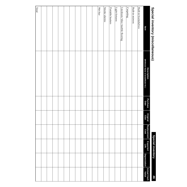## Special inventory (Hiscellaneors) **Special inventory (miscellaneous)**

| Special inventory (miscellaneous) |                                                    |                  |                  |                     | <b>Special inventory</b> |                     | 94                   |
|-----------------------------------|----------------------------------------------------|------------------|------------------|---------------------|--------------------------|---------------------|----------------------|
| Item                              | (Mfr/Brand Name & Serial/Model No.)<br>Description | Purchase<br>Date | Original<br>Cost | Replacement<br>Cost | Expected<br>Life         | <b>Depreciation</b> | Actual Cash<br>Value |
| Built-in bookshelves              |                                                    |                  |                  |                     |                          |                     |                      |
| Built-in mirrors                  |                                                    |                  |                  |                     |                          |                     |                      |
| Carpeting                         |                                                    |                  |                  |                     |                          |                     |                      |
| Linoleum/tiles/marble flooring    |                                                    |                  |                  |                     |                          |                     |                      |
| Light fixtures                    |                                                    |                  |                  |                     |                          |                     |                      |
| Portable heaters                  |                                                    |                  |                  |                     |                          |                     |                      |
| Smoke alarms                      |                                                    |                  |                  |                     |                          |                     |                      |
| Wet bar                           |                                                    |                  |                  |                     |                          |                     |                      |
|                                   |                                                    |                  |                  |                     |                          |                     |                      |
|                                   |                                                    |                  |                  |                     |                          |                     |                      |
|                                   |                                                    |                  |                  |                     |                          |                     |                      |
|                                   |                                                    |                  |                  |                     |                          |                     |                      |
|                                   |                                                    |                  |                  |                     |                          |                     |                      |
|                                   |                                                    |                  |                  |                     |                          |                     |                      |
|                                   |                                                    |                  |                  |                     |                          |                     |                      |
|                                   |                                                    |                  |                  |                     |                          |                     |                      |
|                                   |                                                    |                  |                  |                     |                          |                     |                      |
|                                   |                                                    |                  |                  |                     |                          |                     |                      |
| Total                             |                                                    |                  |                  |                     |                          |                     |                      |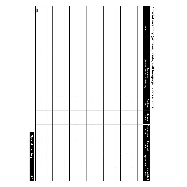### Total Item **Iftem is a serial of the commental of the cost** in Cost Life I Depreciation Value Description<br>(Mfr/Brand Name & Serial/Model No.) **(Mfr/Brand Name & Serial/Model No.) Description**  Purchase<br>Date **Purchase Original Cost** Replacement<br>Cost **Replacement Expected Life Depreciation Depreciation** Actual Cash<br>Value **Actual Cash**

**47**

**Special inventory**

**Special inventory** 

# Special inventory (pictures, prints, wall hangings, photo albums) **Special inventory (pictures, prints, wall hangings, photo albums)**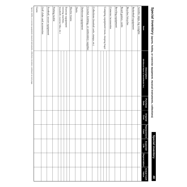Special inventory (sports, hobby, or exercise equipment; musical instruments, collections) **Special inventory (sports, hobby, or exercise equipment; musical instruments, collections)**

> **Special inventory Special inventory**

> > **48**

| Item                                       | (Mfr/Brand Name & Serial/Model No.)<br><b>Description</b> | Purchase<br>Date | Original<br>Cost | Replacement<br>Cost | Expected<br>Life | <b>Depreciation</b> | Actual Cash<br>Value |
|--------------------------------------------|-----------------------------------------------------------|------------------|------------------|---------------------|------------------|---------------------|----------------------|
| Aerobic steps, leg weights                 |                                                           |                  |                  |                     |                  |                     |                      |
| <b>Basketball equipment</b>                |                                                           |                  |                  |                     |                  |                     |                      |
| Bicycles/tricycles                         |                                                           |                  |                  |                     |                  |                     |                      |
| Board games, cards                         |                                                           |                  |                  |                     |                  |                     |                      |
| <b>Bowling equipment</b>                   |                                                           |                  |                  |                     |                  |                     |                      |
| Cameras/accessories                        |                                                           |                  |                  |                     |                  |                     |                      |
|                                            |                                                           |                  |                  |                     |                  |                     |                      |
| Camping equipment (tents, sleeping bags)   |                                                           |                  |                  |                     |                  |                     |                      |
|                                            |                                                           |                  |                  |                     |                  |                     |                      |
| Collections (baseball cards, stamps, etc.) |                                                           |                  |                  |                     |                  |                     |                      |
| Crochet, knitting, or embroidery supplies  |                                                           |                  |                  |                     |                  |                     |                      |
| Darkroom equipment                         |                                                           |                  |                  |                     |                  |                     |                      |
| Darts                                      |                                                           |                  |                  |                     |                  |                     |                      |
| Electric trains                            |                                                           |                  |                  |                     |                  |                     |                      |
| Exercise equipment                         |                                                           |                  |                  |                     |                  |                     |                      |
| (rowing machine,                           |                                                           |                  |                  |                     |                  |                     |                      |
| treadmill, exercise bike, etc.)            |                                                           |                  |                  |                     |                  |                     |                      |
| Fishing tackle                             |                                                           |                  |                  |                     |                  |                     |                      |
| Football, soccer equipment                 |                                                           |                  |                  |                     |                  |                     |                      |
| Golf clubs and accessories                 |                                                           |                  |                  |                     |                  |                     |                      |
| Guns                                       |                                                           |                  |                  |                     |                  |                     |                      |

Sports, hobby, or exercise equipment; musical instruments, collections inventory continued on next page. Sports, hobby, or exercise equipment; musical instruments, collections inventory continued on next page.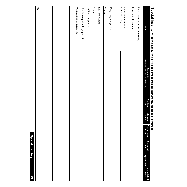### Sleds Skates Total Other hobby supplies<br>(paint, glue, etc.) Weight-lifting equipment Tennis, racquetball equipment Softball equipment Skis/snowshoes Ping pong and pool table Musical instruments Lawn games (croquet, horseshoes) Weight-lifting equipment Tennis, racquetball equipment Softball equipment Skis/snowshoes Ping pong and pool table (paint, glue, etc.) Other hobby supplies Musical instrumentsLawn games (croquet, horseshoes) Item **Iftem is a serial of the commental of the cost** in Cost Life I Depreciation Value (Mfr/Brand Name & Serial/Model No.) **(Mfr/Brand Name & Serial/Model No.)** Description **Description**  Purchase<br>Date **Purchase Original Cost Replacement Cost Expected Life Depreciation Depreciation** Actual Cash<br>Value **Actual Cash**

# Special inventory (sports, hobby, or exercise equipment; musical instruments, collections), continued **Special inventory (sports, hobby, or exercise equipment; musical instruments, collections), continued**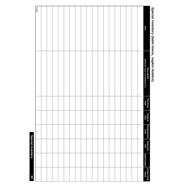# Special inventory (table linens, napkin holders) **Special inventory (table linens, napkin holders)**

| <b>99</b>            |              | <b>Special inventory</b> |                     |                  |                  |                                                    |       |
|----------------------|--------------|--------------------------|---------------------|------------------|------------------|----------------------------------------------------|-------|
|                      |              |                          |                     |                  |                  |                                                    | Total |
|                      |              |                          |                     |                  |                  |                                                    |       |
|                      |              |                          |                     |                  |                  |                                                    |       |
|                      |              |                          |                     |                  |                  |                                                    |       |
|                      |              |                          |                     |                  |                  |                                                    |       |
|                      |              |                          |                     |                  |                  |                                                    |       |
|                      |              |                          |                     |                  |                  |                                                    |       |
|                      |              |                          |                     |                  |                  |                                                    |       |
|                      |              |                          |                     |                  |                  |                                                    |       |
|                      |              |                          |                     |                  |                  |                                                    |       |
|                      |              |                          |                     |                  |                  |                                                    |       |
|                      |              |                          |                     |                  |                  |                                                    |       |
|                      |              |                          |                     |                  |                  |                                                    |       |
|                      |              |                          |                     |                  |                  |                                                    |       |
|                      |              |                          |                     |                  |                  |                                                    |       |
|                      |              |                          |                     |                  |                  |                                                    |       |
|                      |              |                          |                     |                  |                  |                                                    |       |
|                      |              |                          |                     |                  |                  |                                                    |       |
|                      |              |                          |                     |                  |                  |                                                    |       |
| Actual Cash<br>Value | Depreciation | Expected<br>Life         | Replacement<br>Cost | Original<br>Cost | Purchase<br>Date | Description<br>(Mfr/Brand Name & Serial/Model No.) | ltem  |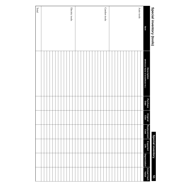|   |   | י      |  |
|---|---|--------|--|
|   | ı |        |  |
|   |   |        |  |
|   |   |        |  |
|   |   |        |  |
|   |   | œ.     |  |
|   |   |        |  |
|   |   | ۰      |  |
|   | ı | ٠      |  |
| p |   |        |  |
|   |   |        |  |
|   |   |        |  |
|   |   |        |  |
|   |   |        |  |
|   | L |        |  |
|   |   |        |  |
|   |   |        |  |
|   |   |        |  |
|   |   |        |  |
|   |   |        |  |
|   |   | ١<br>Ĺ |  |
|   |   |        |  |
|   |   |        |  |
|   |   |        |  |
|   |   |        |  |
|   |   |        |  |
|   |   | ï      |  |

### **Special inventory Special inventory**

| j<br>$\overline{\phantom{a}}$<br>1 |                                                           |                  |                  |                     |                  |                     |                      |
|------------------------------------|-----------------------------------------------------------|------------------|------------------|---------------------|------------------|---------------------|----------------------|
| Item                               | (Mfr/Brand Name & Serial/Model No.)<br><b>Description</b> | Purchase<br>Date | Original<br>Cost | Replacement<br>Cost | Expected<br>Life | <b>Depreciation</b> | Actual Cash<br>Value |
|                                    |                                                           |                  |                  |                     |                  |                     |                      |
| Auto tools                         |                                                           |                  |                  |                     |                  |                     |                      |
|                                    |                                                           |                  |                  |                     |                  |                     |                      |
|                                    |                                                           |                  |                  |                     |                  |                     |                      |
|                                    |                                                           |                  |                  |                     |                  |                     |                      |
|                                    |                                                           |                  |                  |                     |                  |                     |                      |
|                                    |                                                           |                  |                  |                     |                  |                     |                      |
|                                    |                                                           |                  |                  |                     |                  |                     |                      |
|                                    |                                                           |                  |                  |                     |                  |                     |                      |
|                                    |                                                           |                  |                  |                     |                  |                     |                      |
|                                    |                                                           |                  |                  |                     |                  |                     |                      |
|                                    |                                                           |                  |                  |                     |                  |                     |                      |
|                                    |                                                           |                  |                  |                     |                  |                     |                      |
| Garden tools                       |                                                           |                  |                  |                     |                  |                     |                      |
|                                    |                                                           |                  |                  |                     |                  |                     |                      |
|                                    |                                                           |                  |                  |                     |                  |                     |                      |
|                                    |                                                           |                  |                  |                     |                  |                     |                      |
|                                    |                                                           |                  |                  |                     |                  |                     |                      |
|                                    |                                                           |                  |                  |                     |                  |                     |                      |
|                                    |                                                           |                  |                  |                     |                  |                     |                      |
|                                    |                                                           |                  |                  |                     |                  |                     |                      |
|                                    |                                                           |                  |                  |                     |                  |                     |                      |
|                                    |                                                           |                  |                  |                     |                  |                     |                      |
|                                    |                                                           |                  |                  |                     |                  |                     |                      |
|                                    |                                                           |                  |                  |                     |                  |                     |                      |
| Electric tools                     |                                                           |                  |                  |                     |                  |                     |                      |
|                                    |                                                           |                  |                  |                     |                  |                     |                      |
|                                    |                                                           |                  |                  |                     |                  |                     |                      |
|                                    |                                                           |                  |                  |                     |                  |                     |                      |
|                                    |                                                           |                  |                  |                     |                  |                     |                      |
|                                    |                                                           |                  |                  |                     |                  |                     |                      |
|                                    |                                                           |                  |                  |                     |                  |                     |                      |
|                                    |                                                           |                  |                  |                     |                  |                     |                      |
|                                    |                                                           |                  |                  |                     |                  |                     |                      |
|                                    |                                                           |                  |                  |                     |                  |                     |                      |
|                                    |                                                           |                  |                  |                     |                  |                     |                      |
| Total                              |                                                           |                  |                  |                     |                  |                     |                      |
|                                    |                                                           |                  |                  |                     |                  |                     |                      |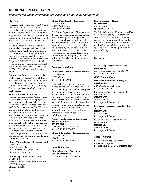### **REGIONAL REFERENCES**

Important Insurance Information for Illinois and other midwestern states

### **Illinois**

**Floods.** In the 20 years between 1969 and 1995, Illinois had 23 presidentially declared disasters! One of the most common disasters in Illinois is flooding. During this time, 72 of the 102 counties experienced major flooding. For this reason, it is wise to discuss flood insurance with your insurance agent.

The National Flood Insurance Program makes coverage available to residents living in "participating communities." If you are concerned about flood coverage in your area, call the Illinois number for the National Flood Insurance Program (217-782-3862), the National Flood Insurance Program (800-638-6620), or the Illinois Department of Insurance (217-782-4515). Or call your insurance agent.

**Earthquakes.** Earthquake insurance is readily available in most areas of Illinois. You have probably heard of the renowned New Madrid seismic zone in southern Illinois. You may not be aware, though, that the state has several other earthquake faults.

**Mine subsidence.** Illinois leads the nation in coal production. An unfortunate result is a correspondingly high prevalence of mine subsidence, which occurs when surface earth collapses over a mine shaft. In fact, an estimated 320,000 housing units in the state are built over or adjacent to underground mines. The Mine Subsidence Insurance Act, passed in Illinois in 1979, provides subsidence insurance for homeowners. Your insurance agent should be able to answer any questions you have about your need for such insurance, but you may also contact the Illinois Mine Subsidence Insurance Fund. For general information about the prevalence and risk of mine subsidence in Illinois, call or write:

### **Illinois Mine Subsidence Insurance Fund (800-433-6743)**

Two Prudential Plaza 180 N. Stetson Ave., Suite 1410 Chicago, IL 60601-6710

*or*

### **Illinois Department of Insurance (312)814-2420**

James R. Thompson Building, Suite 15-100 100 W. Randolph Chicago, IL 60601

### **Illinois Department of Insurance (217)782-4515** 320 W. Washington

Springfield, IL 62767

The Illinois Department of Insurance is the state government agency regulating insurance companies and agencies licensed to do business in Illinois. The department enforces Illinois insurance laws and regulations and protects Illinois citizens by educating them about insurance, investigating their problems, overseeing the market conduct of insurance companies and agents, and monitoring the financial stability of insurance companies.

### **State Associations**

**Illinois Insurance Information Service (217)789-1010** 217 E. Monroe Springfield, IL 62701

This service is a consumer program funded by the insurance industry in Illinois. Their "helpline" staff answer questions about all types of insurance, assist persons who are having a problem with an insurance company, provide factual public information on insurance companies, and distribute free educational literature. The helpline is operated by the Illinois Insurance Information Service, a nonprofit public service organization. For more information, see State Helplines, below.

**Professional Independent Insurance Agents of Illinois (217)793-6660** 2205 Wabash Ave., Suite 206 Springfield, IL 62704-5356

**Illinois Life Underwriters Association (217)529-0126** 60 Adloff Lane Springfield, IL 62703-4402

### **State Helplines**

**Illinois Insurance Department Consumer Helpline (217)782-4515 or (312)814-2420**

**Illinois Insurance Hotline (800)444-3338** 217 E. Monroe Springfield, IL 62701

The Illinois Insurance Hotline is a tollfree helpline managed by the Illinois Insurance Information Service. It provides general consumer information, handles consumer complaints, and distributes free brochures on all lines of insurance. It operates from 9 a.m. to 4 p.m. Monday through Friday.

### **Indiana**

**Indiana Department of Insurance (317)232-2395**

311 W. Washington Street, Suite 300 Indianapolis, IN 46204-2787

### **State Associations**

**Insurance Institute of Indiana, Inc. (317)464-2457** 2450 One American Square Indianapolis, IN 46282

**Independent Insurance Agents of Indiana, Inc. (317)824-3780** 3435 W. 96th St. Indianapolis, IN 46268-1102

**Professional Insurance Agents of Indiana, Inc. (317)875-6700** P.O. Box 68580

Indianapolis, IN 46268

**Indiana State Association of Life Underwriters (317)844-6268** 3009 E. 96th St. Indianapolis, IN 46240

### **State Helplines**

**Indiana Insurance Department Consumer Helpline (800)622-4461 (in state) or (317)232-2395**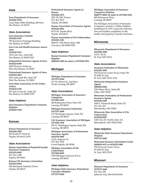### **Iowa**

**Iowa Department of Insurance (515)281-5705** Lucas State Office Building, 6th floor Des Moines, IA 50319

### **State Associations**

**Iowa Insurance Institute (515)283-2147** 729 Insurance Exchange Building Des Moines, IA 50309

**Iowa Life and Health Insurance Association (515)243-7611** 100 Court Ave., Suite 600 Des Moines, IA 50309-2231

**Independent Insurance Agents of Iowa (515)223-6060** 4000 Westown Parkway West Des Moines, IA 50265

**Professional Insurance Agents of Iowa (515)223-4831** 1025 Ashworth Rd., Suite 307 West Des Moines, IA 50265

**Iowa State Association of Life Underwriters (515)243-1436** 431 East Locust St., Suite 202 Des Moines, IA 50309-1999

### **State Helplines**

**Iowa Insurance Department Consumer Helpline (515)281-5705**

### **Kansas**

**Kansas Department of Insurance (913)296-7829** 420 South W. Ninth St. Topeka, KS 66612-1678

### **State Associations**

**Kansas Association of Property/Casualty Insurance Companies (913)232-0545** P.O. Box 1280 Topeka, KS 66601

**Kansas Life Insurance Association (913)232-0545** 900 Merchants National Tower Topeka, KS 66612

**Professional Insurance Agents of Kansas (913)266-7071** 3811 SE 34th Terrace P.O. Box 5513 Topeka, KS 66605

**Kansas Association of Insurance Agents (913)232-0561** 815 S.W. Topeka Blvd. Topeka, KS 66612

**Kansas Association of Life Underwriters (913)832-1921** 4840 W. 15th Street, Suite 1000 Lawrence, KS 66049-3876

### **State Helplines**

**Kansas Insurance Department Consumer Helpline (800)432-2484 (in state) or (913)296-3071**

### **Michigan**

**Michigan Department of Insurance (517)373-0240** 611 W. Ottawa St., 2nd floor North Lansing, MI 48933

### **State Associations**

**Michigan Association of Insurance Companies (517)482-1643** 404 Kalamazoo Plaza, Suite 100 Lansing, MI 48933

**Michigan Insurance Federation (517)371-2880** 313 Washington Square, Suite 301 Lansing, MI 48933

**Life Insurance Association of Michigan (517)482-7058** 230 N. Washington Square, Suite 306 Lansing, MI 48933

**Michigan Association of Professional Insurance Agents (616)792-8049** 133 E. Superior St. P.O. Box 7406 Grand Rapids, MI 49348

**Michigan Association of Life Underwriters (517)484-8494** 1700 Michigan National Tower Lansing, MI 48933

### **State Helplines**

**Michigan State Insurance Department Consumer Helpline (517)373-0240**

**Michigan Association of Insurance Companies Helpline (800)777-8005 (in state) or (517)482-1643** 400 Kalamazoo Plaza Lansing, MI 48933

The Michigan Association of Insurance Companies operates a tollfree helpline. Established in 1979, it provides information and handles complaints on life, health, and property/casualty insurance.

### **Minnesota**

**Minnesota Department of Insurance (612)296-2488** 133 E. 7th St. St. Paul, MN 55101

### **State Associations**

**Insurance Federation of Minnesota (612)292-1099** 750 Norwest Center Tower, Suite 750 55 Fifth St. East St. Paul, MN 55101-1764

**Minnesota Independent Insurance Agents (800)864-3846** 7300 Metro Blvd., Suite 605 Edina, MN 55439

**Minnesota Association of Professional Insurance Agents (612)546-1605** 1809 S. Plymouth Road, Suite 310 P.O. Box 367 Minnetonka, MN 55305

**Minnesota State Association of Life Underwriters (612)544-8087** 1405 Lilac Dr. North, Suite 121 Minneapolis, MN 55422-4528

### **State Helplines**

**Minnesota State Insurance Department Helpline (537)751-2640**

**Minnesota Insurance Information Center (800)642-6121 or (612)222-3800** 750 Norwest Center Tower 55 Fifth St. East St. Paul, MN 55101

### **Missouri**

**Missouri Department of Insurance (573)751-2640** P.O. Box 690 Jefferson City, MO 65102-0690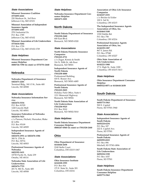### **State Associations**

**Missouri Insurance Coalition (573)893-4241** 220 Madison St., 3rd floor Jefferson City, MO 65101

### **Missouri Association of Independent Insurance Agents (573)893-4301** 2701 Industrial Dr. P.O. Box 1785 Jefferson City, MO 65102

**Missouri Association of Life Underwriters (573)634-5202** P.O. Box 1729 Jefferson City, MO 65102-1729

### **State Helplines**

**Missouri Insurance Department Consumer Helpline (800)726-7390 (in state) or (573)751-2640**

### **Nebraska**

**Nebraska Department of Insurance (402)471-2201** Terminal Bldg., 941 O St., Suite 400 Lincoln, NE 68508

### **State Associations**

**Nebraska Insurance Information Service (402)474-5334** P.O. Box 81529 1220 Lincoln Mall Lincoln, NE 68501

**Insurance Federation of Nebraska (402)476-7621** c/o Pierson, Fitchett, Hunzeker, Blake  $&$  Loftis P.O. Box 95109 Lincoln, NE 68509

**Independent Insurance Agents of Nebraska (402)476-2951 or (402)476-1586** 300 N. 27th St. P.O. Box 30716 Lincoln, NE 68503

**Professional Insurance Agents of Nebraska (402)392-1611** 10730 Pacific St., Suite 239 Omaha, NE 68114

**Nebraska State Association of Life Underwriters (402)474-7723** 201 N. 8th St., Suite 400 Lincoln, NE 68508

### **State Helplines**

**Nebraska Insurance Department Consumer Helpline (402)471-2201**

### **North Dakota**

**North Dakota Department of Insurance (701)328-2440** 600 East Blvd. Bismarck, ND 58505-0320

### **State Associations**

**North Dakota Domestic Insurance Companies (701)223-2711** c/o Zuger, Kirmis & Smith 316 N. Fifth St., 6th floor Bismarck, ND 58501

**Independent Insurance Agents of North Dakota (701)258-4000** Professional Building 418 E. Rosser Ave. Bismarck, ND 58501-4085

**Professional Insurance Agents of North Dakota (701)223-5025** Holiday Park Office, Suite 6 1211 Memorial Highway Bismarck, ND 58504

**North Dakota State Association of Life Underwriters (701)258-9525** P.O. Box 5010 Bismarck, ND 58502-5010

### **State Helplines**

**North Dakota Insurance Department Consumer Helpline (800)247-0560 (in state) or (701)328-2440**

### **Ohio**

**Ohio Department of Insurance (614)644-2658** 2100 Stella Court Columbus, OH 43215-1067

### **State Associations**

**Ohio Insurance Institute (614)228-1593** P.O. Box 816 172 E. State St., Suite 201 Columbus, OH 43216

**Association of Ohio Life Insurance Companies (614)227-2331** c/o Bricker & Eckler 100 S. 3rd St. Columbus, OH 43215

**The Independent Insurance Agents Association of Ohio, Inc. (614)464-3100** 1330 Dublin Rd. P.O. Box 758 Columbus, OH 43216

**Professional Insurance Agents Association of Ohio, Inc. (614)239-1387** 867 S. James Rd. P.O. Box 27548 Columbus, OH 43227

**Ohio State Association of Life Underwriters (614)221-1900** 17 S. High St., Suite 1200 Columbus, OH 43215-3413

### **State Helplines**

**Ohio Insurance Department Consumer Helpline (800)522-0071 or (614)644-2658**

### **South Dakota**

**South Dakota Department of Insurance (605)773-3563** 500 E. Capitol Pierre, SD 57501-3940

### **State Associations**

**Independent Insurance Agents of South Dakota (605)224-6234** P.O. Box 327 222 E. Capitol Ave. Pierre, SD 57501

**Professional Insurance Agents of South Dakota (605)995-0223** P.O. Box 896 Mitchell, SD 57301-0896

**South Dakota State Association of Life Underwriters (605)224-1330** P.O. Box 1037 Pierre, SD 57501

### **State Helplines**

**South Dakota Insurance Department Consumer Helpline (605)773-3563**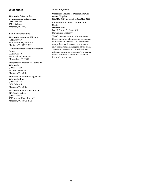### **Wisconsin**

**Wisconsin Office of the Commissioner of Insurance (608)266-0103** 121 E. Wilson Madison, WI 53702

### **State Associations**

**Wisconsin Insurance Alliance (608)255-1749** 44 E. Mifflin St., Suite 205 Madison, WI 53703-2800

**Community Insurance Information Center (414)291-5360** 744 N. 4th St., Suite 626 Milwaukee, WI 53203

**Independent Insurance Agents of Wisconsin (608)256-4429** 725 John Nolen Dr. Madison, WI 53713

**Professional Insurance Agents of Wisconsin, Inc. (608)274-8188** 6401 Odana Rd. Madison, WI 53719

**Wisconsin State Association of Life Underwriters (608)233-7085** 4513 Vernon Blvd., Room 12 Madison, WI 53705-4964

### **State Helplines**

**Wisconsin Insurance Department Consumer Helpline (800)236-8517 (in state) or (608)266-0103**

**Community Insurance Information Center (414)291-5360** 744 N. Fourth St., Suite 626 Milwaukee, WI 53203

The Consumer Insurance Information Center operates a helpline for consumers in the Milwaukee area. This helpline is unique because it serves consumers in only the metropolitan region of the state. The rest of Wisconsin is rural and has different insurance problems. The Center is also committed to finding coverage for rural consumers.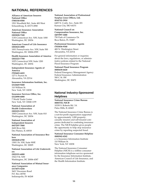### **NATIONAL REFERENCES**

**Alliance of American Insurers National Office (708)330-8500** 1501 Woodfield Rd., Suite 400 West Schaumburg, IL 60173-4980

**American Insurance Association National Office (202)828-7100** 1130 Connecticut Ave. NW, Suite 1000 Washington, DC 20036

**American Council of Life Insurance (202)624-2000** 1001 Pennsylvania Ave. NW, Suite 500 Washington, DC 20004-2599

**Health Insurance Association of America (202)223-7780** 1025 Connecticut NW, Suite 1200 Washington, DC 20036

**Independent Insurance Agents of America (703)683-4422** 127 S. Peyton St. Alexandria, VA 22314

**Insurance Information Institute, Inc. (212)669-9200** 110 William St. New York, NY 10038

**Insurance Services Office, Inc. (212)898-6000** 7 World Trade Center New York, NY 10048-1199

**National Association of Health Underwriters (202)223-5533** 1000 Connecticut Ave. NW, Suite 810 Washington, DC 20036

**National Association of Independent Insurers (847)297-7800** 2600 River Rd. Des Plaines, IL 60018

**National Association of Insurance Brokers (202)628-6700** 1300 I St. NW, Suite 900E Washington, DC 20005

### **National Association of Life Underwrit-**

**ers (202)331-6000** 1922 F St. NW Washington, DC 20006-4387

**National Association of Mutual Insurance Companies (317)875-5250** 3601 Vincennes Road P.O. Box 68700 Indianapolis, IN 46268

**National Association of Professional Surplus Lines Offices, Ltd. (816)741-3910** 6405 N. Cosby Ave., Suite 201 Kansas City, MO 64151

**National Council on Compensation Insurance, Inc. (407)997-1000** 750 Park of Commerce Dr. Boca Raton, FL 33487

### **Professional Insurance Agents (703)836-9340**

400 N. Washington Street Alexandria, VA 22314

For general information or inquiries about the laws, regulations, or administrative policies related to the National Flood Insurance Program:

### **National Flood Insurance Program (800)638-6620**

Federal Emergency Management Agency Federal Insurance Administration 500 C St. SW Washington, DC 20472

### **National Industry-Sponsored Helplines**

**National Insurance Crime Bureau (800)TEL-NICB** 10330 S. Roberts Rd. 3A Palos Hills, IL 60465

The National Insurance Crime Bureau is a not-for-profit organization supported by approximately 1,000 propertycasualty insurers and self-insured companies dedicated to combating insurance crime. The NICB helpline gives people the opportunity to help stop insurance crime by reporting suspected fraud.

### **National Insurance Consumer Helpline (800)942-4242**

c/o Insurance Information Institute 110 William St. New York, NY 10038

The National Insurance Consumer Helpline (NICH) is a tollfree consumer information telephone service sponsored by the Insurance Information Institute, American Council of Life Insurance, and the Health Information Institute.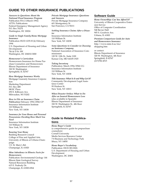### **GUIDE TO OTHER INSURANCE PUBLICATIONS**

*Answers to Questions About the National Flood Insurance Program* Publication FIA-2 (March 1992) ATTN: Publications Federal Emergency Management Agency P.O. Box 70274 Washington, DC 20024

*Guide to Single Family Home Mortgage Insurance*

Publication HUD-1235-H (k) February 1994 U.S. Department of Housing and Urban Development 7th & D St. SW Washington, DC 204010-3000

### *Homeowner's Curriculum*

Homeowners Insurance for Home Purchase Counselors and Homeowners Illinois Department of Insurance 320 W. Washington Springfield, IL 62767

### *How Mortgage Insurance Works*

Mortgage Guaranty Insurance Corporation Marketing Department P.O. Box 488 MGIC Plaza 250 E. Kilbourn Ave. Milwaukee, WI 53202

### *How to File an Insurance Claim*

*Publication* February 1992/25M/CP Insurance Information Institute 110 William St. New York, NY 10038

### *Insurance for Your House and Personal Possessions: Deciding How Much You Need* Insurance Information Institute 110 William St.

New York, NY 10038

### *Insuring Your Home*

Building Research Council College of Fine and Applied Arts University of Illinois at Urbana-Champaign 1 E. St. Mary's Rd. Champaign, IL 61820

### *Mine Subsidence in Illinois: Facts for Homeowners*

Publication: Environmental Geology 144 Illinois State Geological Survey Natural Resources Building 615 E. Peabody Dr. Champaign, IL 61820-6964

### *Private Mortgage Insurance: Questions and Answers* Private Mortgage Insurance Company 601 Montgomery St.

San Francisco, CA 94111

### *Settling Insurance Claims After a Disaster*

Insurance Information Institute 110 William St. New York, NY 10038

### *Some Questions to Consider in Choosing*

*an Insurance Company* National Association of Insurance Commissioners 120 W. 12th St., Suite 1100 Kansas City, MO 64105-1925

### *Taking Inventory*

Publication: March 1994/25M/CG Insurance Information Institute 110 William St. New York, NY 10038

### *Title Insurance: What Is It and Why Get It?*

Community Development Legal Assistance Center 99 Hudson St. New York, NY 10013

### *When Disaster Strikes: What to Do*

*After an Insured Homeowners Loss* (also available in Spanish) Illinois Department of Insurance 320 W. Washington St., 4th floor Springfield, IL 62767

### **Guide to Related Publica-**

### **tions**

*Home Buyer's Guide* (a comprehensive guide for prepurchase counselors) Cornell University Media Services Resource Center 7-8 Business and Technology Park Ithaca, NY 14850

### *Home Buyer's Vocabulary*

Publication: HUD-383-H(8) U.S. Department of Housing and Urban Development Washington, DC 20401

### **Software Guide**

*Home Owner\$hip: Can You Afford It?* University of Illinois Cooperative Extension Service Office of Computer Coordination 548 Bevier Hall 905 S. Goodwin Ave. Urbana, IL 61801

*Premium Comparison Guide for Auto and Homeowners Insurance* http://www.state.il.us/ins/ shopping.htm

or contact: Illinois Department of Insurance 320 W. Washington, 4th floor Springfield, Il 62767 (217)782-4515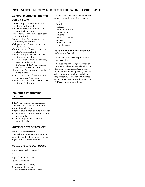### **INSURANCE INFORMATION ON THE WORLD WIDE WEB**

### **General Insurance Information by State**

Illinois = http://www.insure.com/ states/il/index.html Indiana = http://www.insure.com/ states/in/index.html Iowa = http://www.insure.com/states/ ia/index.html Kansas = http://www.insure.com/ states/ks/index.html Michigan = http://www.insure.com/ states/mi/index.html Minnesota = http://www.insure.com/ states/mn/index.html Missouri = http://www.insure.com/ states/mo/index.html Nebraska = http://www.insure.com/ states/ne/index.html North Dakota = http://www.insure. com/states/nd/index.html Ohio = http://www.insure.com/states/ oh/index.html South Dakota = http://www.insure. com/states/sd/index.html Wisconsin = http://www.insure.com/ states/wi/index.html

### **Insurance Information Institute**

http://www.iii.org/consumer.htm This Web site has a large amount of information related to:

- how to save money on auto insurance
- how to select homeowners insurance
- home security
- how to prepare for a hurricane
- how to file a claim

### **Insurance News Network (INN)**

http://www.insure.com

This Web site provides information on auto, life, and health insurance, including insurance company ratings.

### **Consumer Information Catalog**

http://www.pueblo.gsa.gov/

*or*

http://ww.yahoo.com/

Follow these links:

- 1 Business and Economy
- 2 Consumer Economy
- 3 Consumer Information Center

This Web site covers the following consumer-related information catalogs:

- cars
- health
- children
- food and nutrition
- employment
- housing
- federal programs
- money
- travel and hobbies
- small business

### **National Institute for Consumer Education (NICE)**

http://www.emich.edu/public/coe/ nice/nice.html

This Web site has a large collection of information about issues related to credit (for example, home mortgages and fraud), consumer competency, consumer education for high school and elementary school students, personal finance (for example, software and videos), and FTT's consumer publications.